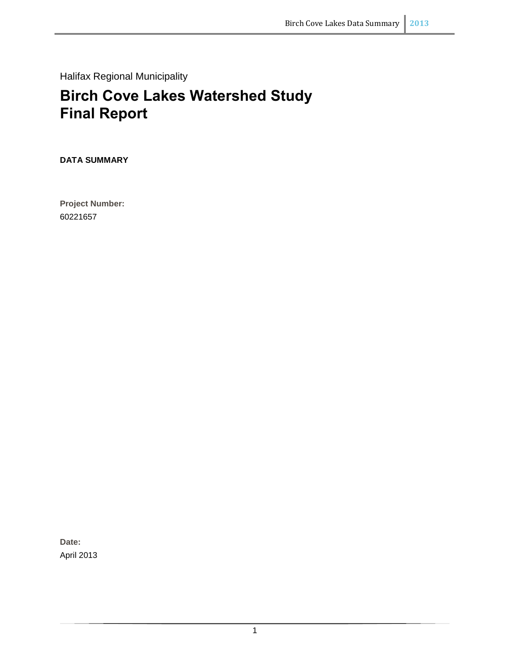Halifax Regional Municipality

# **Birch Cove Lakes Watershed Study Final Report**

**DATA SUMMARY**

**Project Number:**  60221657

**Date:**  April 2013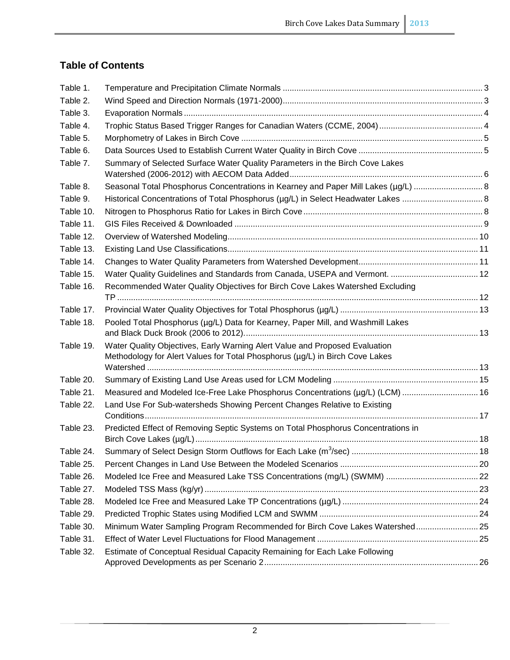## **Table of Contents**

| Table 1.  |                                                                                    |  |
|-----------|------------------------------------------------------------------------------------|--|
| Table 2.  |                                                                                    |  |
| Table 3.  |                                                                                    |  |
| Table 4.  |                                                                                    |  |
| Table 5.  |                                                                                    |  |
| Table 6.  |                                                                                    |  |
| Table 7.  | Summary of Selected Surface Water Quality Parameters in the Birch Cove Lakes       |  |
|           |                                                                                    |  |
| Table 8.  | Seasonal Total Phosphorus Concentrations in Kearney and Paper Mill Lakes (µg/L)  8 |  |
| Table 9.  |                                                                                    |  |
| Table 10. |                                                                                    |  |
| Table 11. |                                                                                    |  |
| Table 12. |                                                                                    |  |
| Table 13. |                                                                                    |  |
| Table 14. |                                                                                    |  |
| Table 15. | Water Quality Guidelines and Standards from Canada, USEPA and Vermont.  12         |  |
| Table 16. | Recommended Water Quality Objectives for Birch Cove Lakes Watershed Excluding      |  |
|           |                                                                                    |  |
| Table 17. |                                                                                    |  |
| Table 18. | Pooled Total Phosphorus (µg/L) Data for Kearney, Paper Mill, and Washmill Lakes    |  |
|           |                                                                                    |  |
| Table 19. | Water Quality Objectives, Early Warning Alert Value and Proposed Evaluation        |  |
|           | Methodology for Alert Values for Total Phosphorus (µg/L) in Birch Cove Lakes       |  |
| Table 20. |                                                                                    |  |
| Table 21. | Measured and Modeled Ice-Free Lake Phosphorus Concentrations (µg/L) (LCM)  16      |  |
| Table 22. | Land Use For Sub-watersheds Showing Percent Changes Relative to Existing           |  |
|           |                                                                                    |  |
| Table 23. | Predicted Effect of Removing Septic Systems on Total Phosphorus Concentrations in  |  |
|           |                                                                                    |  |
| Table 24. |                                                                                    |  |
| Table 25. |                                                                                    |  |
| Table 26. |                                                                                    |  |
| Table 27. |                                                                                    |  |
| Table 28. |                                                                                    |  |
| Table 29. |                                                                                    |  |
| Table 30. | Minimum Water Sampling Program Recommended for Birch Cove Lakes Watershed 25       |  |
| Table 31. |                                                                                    |  |
| Table 32. | Estimate of Conceptual Residual Capacity Remaining for Each Lake Following         |  |
|           |                                                                                    |  |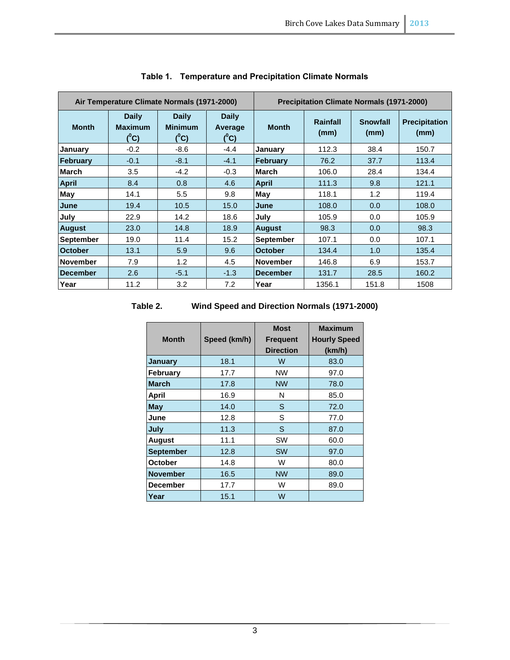<span id="page-2-0"></span>

|                  | Air Temperature Climate Normals (1971-2000) |                                           |                                    | <b>Precipitation Climate Normals (1971-2000)</b> |                  |                         |                              |  |
|------------------|---------------------------------------------|-------------------------------------------|------------------------------------|--------------------------------------------------|------------------|-------------------------|------------------------------|--|
| <b>Month</b>     | <b>Daily</b><br><b>Maximum</b><br>$(^0C)$   | <b>Daily</b><br><b>Minimum</b><br>$(^0C)$ | <b>Daily</b><br>Average<br>$(^0C)$ | <b>Month</b>                                     | Rainfall<br>(mm) | <b>Snowfall</b><br>(mm) | <b>Precipitation</b><br>(mm) |  |
| January          | $-0.2$                                      | $-8.6$                                    | $-4.4$                             | January                                          | 112.3            | 38.4                    | 150.7                        |  |
| February         | $-0.1$                                      | $-8.1$                                    | $-4.1$                             | February                                         | 76.2             | 37.7                    | 113.4                        |  |
| <b>March</b>     | 3.5                                         | $-4.2$                                    | $-0.3$                             | <b>March</b>                                     | 106.0            | 28.4                    | 134.4                        |  |
| <b>April</b>     | 8.4                                         | 0.8                                       | 4.6                                | <b>April</b>                                     | 111.3            | 9.8                     | 121.1                        |  |
| <b>May</b>       | 14.1                                        | 5.5                                       | 9.8                                | May                                              | 118.1            | 1.2                     | 119.4                        |  |
| June             | 19.4                                        | 10.5                                      | 15.0                               | June                                             | 108.0            | 0.0                     | 108.0                        |  |
| July             | 22.9                                        | 14.2                                      | 18.6                               | July                                             | 105.9            | 0.0                     | 105.9                        |  |
| <b>August</b>    | 23.0                                        | 14.8                                      | 18.9                               | <b>August</b>                                    | 98.3             | 0.0                     | 98.3                         |  |
| <b>September</b> | 19.0                                        | 11.4                                      | 15.2                               | <b>September</b>                                 | 107.1            | 0.0                     | 107.1                        |  |
| <b>October</b>   | 13.1                                        | 5.9                                       | 9.6                                | <b>October</b>                                   | 134.4            | 1.0                     | 135.4                        |  |
| <b>November</b>  | 7.9                                         | 1.2                                       | 4.5                                | <b>November</b>                                  | 146.8            | 6.9                     | 153.7                        |  |
| <b>December</b>  | 2.6                                         | $-5.1$                                    | $-1.3$                             | <b>December</b>                                  | 131.7            | 28.5                    | 160.2                        |  |
| Year             | 11.2                                        | 3.2                                       | 7.2                                | Year                                             | 1356.1           | 151.8                   | 1508                         |  |

## **Table 1. Temperature and Precipitation Climate Normals**

#### <span id="page-2-1"></span>**Table 2. Wind Speed and Direction Normals (1971-2000)**

| <b>Month</b>     | Speed (km/h) | <b>Most</b><br><b>Frequent</b><br><b>Direction</b> | <b>Maximum</b><br><b>Hourly Speed</b><br>(km/h) |
|------------------|--------------|----------------------------------------------------|-------------------------------------------------|
| January          | 18.1         | W                                                  | 83.0                                            |
| <b>February</b>  | 17.7         | <b>NW</b>                                          | 97.0                                            |
| <b>March</b>     | 17.8         | <b>NW</b>                                          | 78.0                                            |
| April            | 16.9         | N                                                  | 85.0                                            |
| <b>May</b>       | 14.0         | S                                                  | 72.0                                            |
| June             | 12.8         | S                                                  | 77.0                                            |
| July             | 11.3         | S                                                  | 87.0                                            |
| <b>August</b>    | 11.1         | <b>SW</b>                                          | 60.0                                            |
| <b>September</b> | 12.8         | <b>SW</b>                                          | 97.0                                            |
| <b>October</b>   | 14.8         | W                                                  | 80.0                                            |
| <b>November</b>  | 16.5         | <b>NW</b>                                          | 89.0                                            |
| December         | 17.7         | W                                                  | 89.0                                            |
| Year             | 15.1         | W                                                  |                                                 |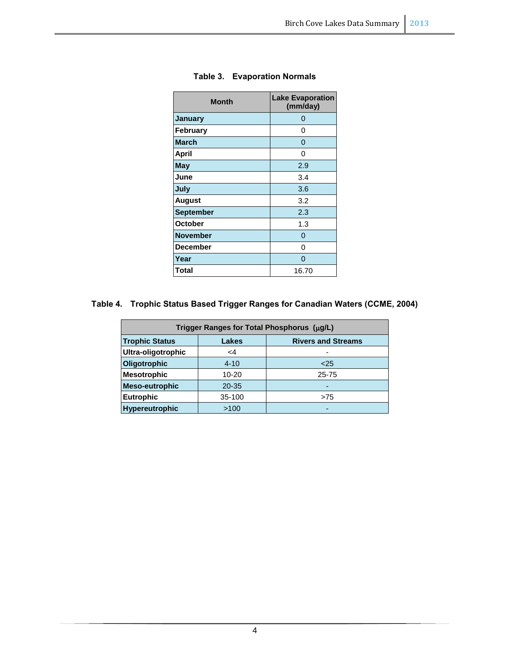<span id="page-3-0"></span>

| <b>Month</b>     | <b>Lake Evaporation</b><br>(mm/day) |
|------------------|-------------------------------------|
| <b>January</b>   | ი                                   |
| <b>February</b>  | 0                                   |
| <b>March</b>     | 0                                   |
| April            | O                                   |
| <b>May</b>       | 2.9                                 |
| June             | 3.4                                 |
| July             | 3.6                                 |
| <b>August</b>    | 3.2                                 |
| <b>September</b> | 2.3                                 |
| <b>October</b>   | 1.3                                 |
| <b>November</b>  | 0                                   |
| <b>December</b>  | O                                   |
| Year             | O                                   |
| <b>Total</b>     | 16.70                               |

## **Table 3. Evaporation Normals**

## <span id="page-3-1"></span>**Table 4. Trophic Status Based Trigger Ranges for Canadian Waters (CCME, 2004)**

| Trigger Ranges for Total Phosphorus (µg/L) |                                    |       |  |  |  |  |  |
|--------------------------------------------|------------------------------------|-------|--|--|--|--|--|
| <b>Trophic Status</b>                      | <b>Rivers and Streams</b><br>Lakes |       |  |  |  |  |  |
| Ultra-oligotrophic                         | <4                                 |       |  |  |  |  |  |
| Oligotrophic                               | $4 - 10$                           | $25$  |  |  |  |  |  |
| <b>Mesotrophic</b>                         | $10 - 20$                          | 25-75 |  |  |  |  |  |
| <b>Meso-eutrophic</b>                      | $20 - 35$                          | -     |  |  |  |  |  |
| <b>Eutrophic</b>                           | 35-100                             | >75   |  |  |  |  |  |
| Hypereutrophic                             | >100                               | -     |  |  |  |  |  |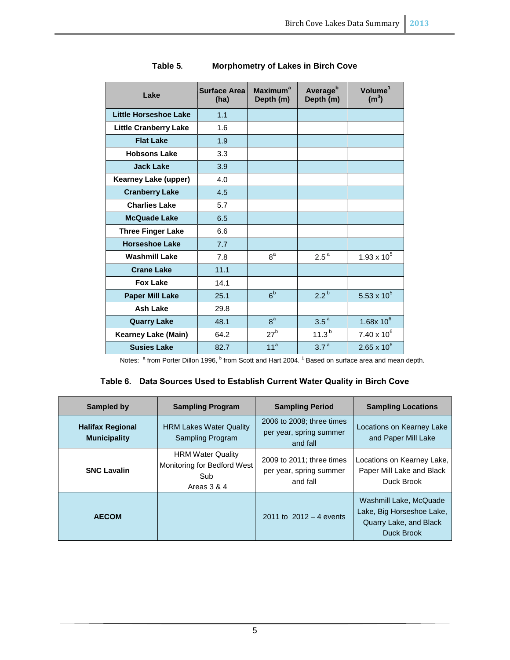<span id="page-4-0"></span>

| Lake                         | <b>Surface Area</b><br>(ha) | <b>Maximum</b> <sup>a</sup><br>Depth (m) | Average <sup>b</sup><br>Depth (m) | Volume <sup>1</sup><br>(m <sup>3</sup> ) |
|------------------------------|-----------------------------|------------------------------------------|-----------------------------------|------------------------------------------|
| <b>Little Horseshoe Lake</b> | 1.1                         |                                          |                                   |                                          |
| <b>Little Cranberry Lake</b> | 1.6                         |                                          |                                   |                                          |
| <b>Flat Lake</b>             | 1.9                         |                                          |                                   |                                          |
| <b>Hobsons Lake</b>          | 3.3                         |                                          |                                   |                                          |
| <b>Jack Lake</b>             | 3.9                         |                                          |                                   |                                          |
| <b>Kearney Lake (upper)</b>  | 4.0                         |                                          |                                   |                                          |
| <b>Cranberry Lake</b>        | 4.5                         |                                          |                                   |                                          |
| <b>Charlies Lake</b>         | 5.7                         |                                          |                                   |                                          |
| <b>McQuade Lake</b>          | 6.5                         |                                          |                                   |                                          |
| <b>Three Finger Lake</b>     | 6.6                         |                                          |                                   |                                          |
| <b>Horseshoe Lake</b>        | 7.7                         |                                          |                                   |                                          |
| <b>Washmill Lake</b>         | 7.8                         | 8 <sup>a</sup>                           | $2.5^{\text{a}}$                  | $1.93 \times 10^{5}$                     |
| <b>Crane Lake</b>            | 11.1                        |                                          |                                   |                                          |
| <b>Fox Lake</b>              | 14.1                        |                                          |                                   |                                          |
| <b>Paper Mill Lake</b>       | 25.1                        | 6 <sup>b</sup>                           | 2.2 <sup>b</sup>                  | 5.53 x $10^5$                            |
| <b>Ash Lake</b>              | 29.8                        |                                          |                                   |                                          |
| <b>Quarry Lake</b>           | 48.1                        | 8 <sup>a</sup>                           | 3.5 <sup>a</sup>                  | $1.68x 10^6$                             |
| <b>Kearney Lake (Main)</b>   | 64.2                        | $27^{\rm b}$                             | $11.3^{b}$                        | $7.40 \times 10^{6}$                     |
| <b>Susies Lake</b>           | 82.7                        | 11 <sup>a</sup>                          | 3.7 <sup>a</sup>                  | $2.65 \times 10^{6}$                     |

| Table 5. | <b>Morphometry of Lakes in Birch Cove</b> |  |
|----------|-------------------------------------------|--|

Notes: <sup>a</sup> from Porter Dillon 1996, <sup>b</sup> from Scott and Hart 2004. <sup>1</sup> Based on surface area and mean depth.

## **Table 6. Data Sources Used to Establish Current Water Quality in Birch Cove**

<span id="page-4-1"></span>

| <b>Sampled by</b>                              | <b>Sampling Program</b>                                                       | <b>Sampling Period</b>                                           | <b>Sampling Locations</b>                                                                   |
|------------------------------------------------|-------------------------------------------------------------------------------|------------------------------------------------------------------|---------------------------------------------------------------------------------------------|
| <b>Halifax Regional</b><br><b>Municipality</b> | <b>HRM Lakes Water Quality</b><br>Sampling Program                            | 2006 to 2008; three times<br>per year, spring summer<br>and fall | Locations on Kearney Lake<br>and Paper Mill Lake                                            |
| <b>SNC Lavalin</b>                             | <b>HRM Water Quality</b><br>Monitoring for Bedford West<br>Sub<br>Areas 3 & 4 | 2009 to 2011; three times<br>per year, spring summer<br>and fall | Locations on Kearney Lake,<br>Paper Mill Lake and Black<br>Duck Brook                       |
| <b>AECOM</b>                                   |                                                                               | 2011 to $2012 - 4$ events                                        | Washmill Lake, McQuade<br>Lake, Big Horseshoe Lake,<br>Quarry Lake, and Black<br>Duck Brook |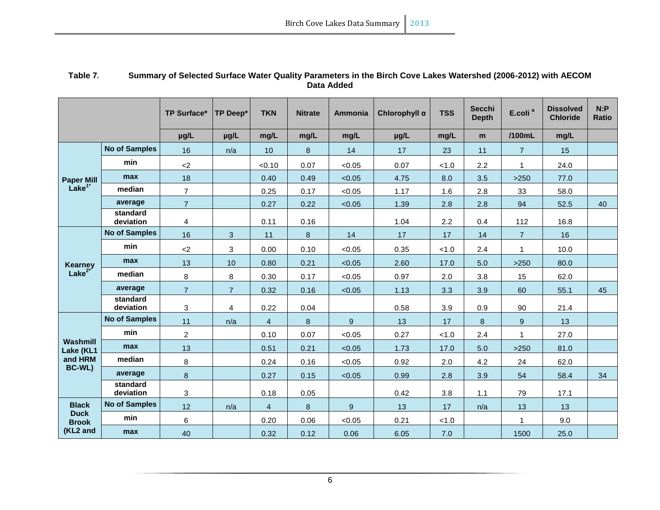<span id="page-5-0"></span>

|                               |                       | <b>TP Surface*</b> | <b>TP Deep*</b> | <b>TKN</b>     | <b>Nitrate</b> | <b>Ammonia</b> | Chlorophyll a | <b>TSS</b> | <b>Secchi</b><br><b>Depth</b> | E.coli <sup>a</sup> | <b>Dissolved</b><br><b>Chloride</b> | N: P<br><b>Ratio</b> |
|-------------------------------|-----------------------|--------------------|-----------------|----------------|----------------|----------------|---------------|------------|-------------------------------|---------------------|-------------------------------------|----------------------|
|                               |                       | µg/L               | µg/L            | mg/L           | mg/L           | mg/L           | µg/L          | mg/L       | m                             | /100mL              | mg/L                                |                      |
|                               | <b>No of Samples</b>  | 16                 | n/a             | 10             | $\bf 8$        | 14             | 17            | 23         | 11                            | $\overline{7}$      | 15                                  |                      |
|                               | min                   | $<$ 2              |                 | < 0.10         | 0.07           | < 0.05         | 0.07          | < 1.0      | 2.2                           | 1                   | 24.0                                |                      |
| <b>Paper Mill</b>             | max                   | 18                 |                 | 0.40           | 0.49           | < 0.05         | 4.75          | 8.0        | 3.5                           | >250                | 77.0                                |                      |
| Lake <sup>1</sup>             | median                | $\overline{7}$     |                 | 0.25           | 0.17           | < 0.05         | 1.17          | 1.6        | 2.8                           | 33                  | 58.0                                |                      |
|                               | average               | $\overline{7}$     |                 | 0.27           | 0.22           | < 0.05         | 1.39          | 2.8        | 2.8                           | 94                  | 52.5                                | 40                   |
|                               | standard<br>deviation | 4                  |                 | 0.11           | 0.16           |                | 1.04          | 2.2        | 0.4                           | 112                 | 16.8                                |                      |
|                               | <b>No of Samples</b>  | 16                 | 3               | 11             | $\bf 8$        | 14             | 17            | 17         | 14                            | $\overline{7}$      | 16                                  |                      |
|                               | min                   | $<$ 2              | 3               | 0.00           | 0.10           | < 0.05         | 0.35          | < 1.0      | 2.4                           | $\mathbf{1}$        | 10.0                                |                      |
|                               | max                   | 13                 | 10              | 0.80           | 0.21           | < 0.05         | 2.60          | 17.0       | 5.0                           | $>250$              | 80.0                                |                      |
| Kearney<br>Lake <sup>2*</sup> | median                | 8                  | 8               | 0.30           | 0.17           | < 0.05         | 0.97          | 2.0        | 3.8                           | 15                  | 62.0                                |                      |
|                               | average               | $\overline{7}$     | $\overline{7}$  | 0.32           | 0.16           | < 0.05         | 1.13          | 3.3        | 3.9                           | 60                  | 55.1                                | 45                   |
|                               | standard<br>deviation | 3                  | 4               | 0.22           | 0.04           |                | 0.58          | 3.9        | 0.9                           | 90                  | 21.4                                |                      |
|                               | <b>No of Samples</b>  | 11                 | n/a             | 4              | 8              | 9              | 13            | 17         | 8                             | $\overline{9}$      | 13                                  |                      |
|                               | min                   | $\overline{c}$     |                 | 0.10           | 0.07           | < 0.05         | 0.27          | < 1.0      | 2.4                           | 1                   | 27.0                                |                      |
| Washmill<br>Lake (KL1         | max                   | 13                 |                 | 0.51           | 0.21           | < 0.05         | 1.73          | 17.0       | 5.0                           | >250                | 81.0                                |                      |
| and HRM                       | median                | 8                  |                 | 0.24           | 0.16           | < 0.05         | 0.92          | 2.0        | 4.2                           | 24                  | 62.0                                |                      |
| BC-WL)                        | average               | 8                  |                 | 0.27           | 0.15           | < 0.05         | 0.99          | 2.8        | 3.9                           | 54                  | 58.4                                | 34                   |
|                               | standard<br>deviation | 3                  |                 | 0.18           | 0.05           |                | 0.42          | 3.8        | 1.1                           | 79                  | 17.1                                |                      |
| <b>Black</b>                  | <b>No of Samples</b>  | 12                 | n/a             | $\overline{4}$ | $\bf 8$        | 9              | 13            | 17         | n/a                           | 13                  | 13                                  |                      |
| <b>Duck</b><br><b>Brook</b>   | min                   | 6                  |                 | 0.20           | 0.06           | < 0.05         | 0.21          | < 1.0      |                               | 1                   | 9.0                                 |                      |
| (KL2 and                      | max                   | 40                 |                 | 0.32           | 0.12           | 0.06           | 6.05          | 7.0        |                               | 1500                | 25.0                                |                      |

#### **Table 7. Summary of Selected Surface Water Quality Parameters in the Birch Cove Lakes Watershed (2006-2012) with AECOM Data Added**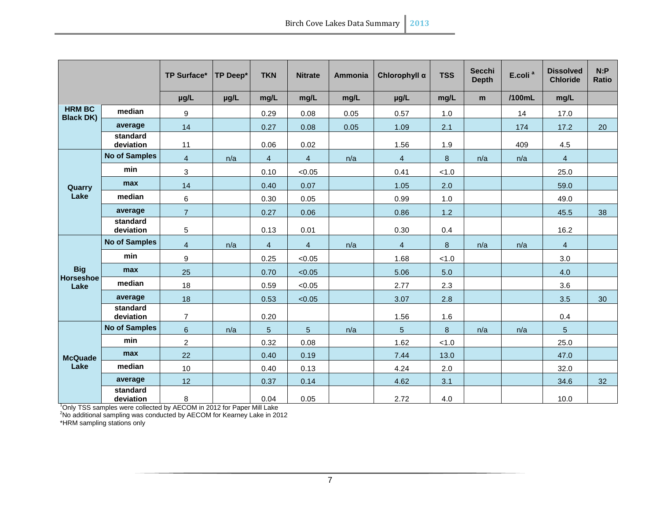|                                   |                       | <b>TP Surface*</b> | <b>TP Deep*</b> | <b>TKN</b>     | <b>Nitrate</b> | <b>Ammonia</b> | Chlorophyll a   | <b>TSS</b> | <b>Secchi</b><br><b>Depth</b> | E.coli <sup>a</sup> | <b>Dissolved</b><br><b>Chloride</b> | N: P<br><b>Ratio</b> |
|-----------------------------------|-----------------------|--------------------|-----------------|----------------|----------------|----------------|-----------------|------------|-------------------------------|---------------------|-------------------------------------|----------------------|
|                                   |                       | µg/L               | µg/L            | mg/L           | mg/L           | mg/L           | µg/L            | mg/L       | m                             | /100mL              | mg/L                                |                      |
| <b>HRM BC</b><br><b>Black DK)</b> | median                | 9                  |                 | 0.29           | 0.08           | 0.05           | 0.57            | 1.0        |                               | 14                  | 17.0                                |                      |
|                                   | average               | 14                 |                 | 0.27           | 0.08           | 0.05           | 1.09            | 2.1        |                               | 174                 | 17.2                                | 20                   |
|                                   | standard<br>deviation | 11                 |                 | 0.06           | 0.02           |                | 1.56            | 1.9        |                               | 409                 | 4.5                                 |                      |
|                                   | <b>No of Samples</b>  | $\overline{4}$     | n/a             | $\overline{4}$ | $\overline{4}$ | n/a            | $\overline{4}$  | 8          | n/a                           | n/a                 | $\overline{4}$                      |                      |
|                                   | min                   | 3                  |                 | 0.10           | < 0.05         |                | 0.41            | < 1.0      |                               |                     | 25.0                                |                      |
| Quarry                            | max                   | 14                 |                 | 0.40           | 0.07           |                | 1.05            | 2.0        |                               |                     | 59.0                                |                      |
| Lake                              | median                | 6                  |                 | 0.30           | 0.05           |                | 0.99            | 1.0        |                               |                     | 49.0                                |                      |
|                                   | average               | $\overline{7}$     |                 | 0.27           | 0.06           |                | 0.86            | $1.2$      |                               |                     | 45.5                                | 38                   |
|                                   | standard<br>deviation | 5                  |                 | 0.13           | 0.01           |                | 0.30            | 0.4        |                               |                     | 16.2                                |                      |
|                                   | <b>No of Samples</b>  | $\overline{4}$     | n/a             | $\overline{4}$ | $\overline{4}$ | n/a            | $\overline{4}$  | 8          | n/a                           | n/a                 | $\overline{4}$                      |                      |
|                                   | min                   | 9                  |                 | 0.25           | < 0.05         |                | 1.68            | < 1.0      |                               |                     | 3.0                                 |                      |
| <b>Big</b>                        | max                   | 25                 |                 | 0.70           | < 0.05         |                | 5.06            | 5.0        |                               |                     | 4.0                                 |                      |
| <b>Horseshoe</b><br>Lake          | median                | 18                 |                 | 0.59           | < 0.05         |                | 2.77            | 2.3        |                               |                     | 3.6                                 |                      |
|                                   | average               | 18                 |                 | 0.53           | < 0.05         |                | 3.07            | 2.8        |                               |                     | 3.5                                 | 30                   |
|                                   | standard<br>deviation | $\overline{7}$     |                 | 0.20           |                |                | 1.56            | 1.6        |                               |                     | 0.4                                 |                      |
|                                   | <b>No of Samples</b>  | $6\phantom{a}$     | n/a             | 5              | 5              | n/a            | $5\overline{)}$ | 8          | n/a                           | n/a                 | $5\overline{)}$                     |                      |
|                                   | min                   | $\overline{a}$     |                 | 0.32           | 0.08           |                | 1.62            | < 1.0      |                               |                     | 25.0                                |                      |
| <b>McQuade</b>                    | max                   | 22                 |                 | 0.40           | 0.19           |                | 7.44            | 13.0       |                               |                     | 47.0                                |                      |
| Lake                              | median                | 10                 |                 | 0.40           | 0.13           |                | 4.24            | 2.0        |                               |                     | 32.0                                |                      |
|                                   | average               | 12                 |                 | 0.37           | 0.14           |                | 4.62            | 3.1        |                               |                     | 34.6                                | 32                   |
|                                   | standard<br>deviation | 8                  |                 | 0.04           | 0.05           |                | 2.72            | 4.0        |                               |                     | 10.0                                |                      |

<sup>1</sup>Only TSS samples were collected by AECOM in 2012 for Paper Mill Lake

<sup>2</sup>No additional sampling was conducted by AECOM for Kearney Lake in 2012

\*HRM sampling stations only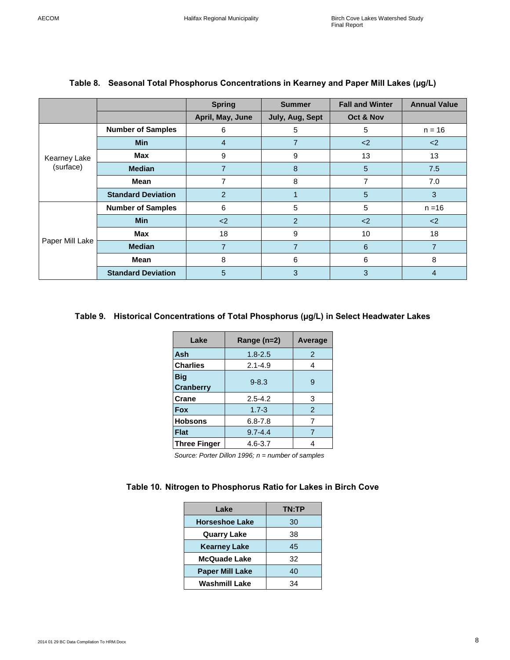<span id="page-7-0"></span>

|                 |                           | <b>Spring</b>    | <b>Summer</b>   | <b>Fall and Winter</b> | <b>Annual Value</b> |  |
|-----------------|---------------------------|------------------|-----------------|------------------------|---------------------|--|
|                 |                           | April, May, June | July, Aug, Sept | Oct & Nov              |                     |  |
|                 | <b>Number of Samples</b>  | 6                | 5               | 5                      | $n = 16$            |  |
|                 | <b>Min</b>                | 4                | 7               | $2$                    | $2$                 |  |
| Kearney Lake    | Max                       | 9                | 9               | 13                     | 13                  |  |
| (surface)       | <b>Median</b>             | $\overline{7}$   | 8               | 5                      | 7.5                 |  |
|                 | Mean                      | 7                | 8               | 7                      | 7.0                 |  |
|                 | <b>Standard Deviation</b> | $\overline{2}$   |                 | 5                      | 3                   |  |
|                 | <b>Number of Samples</b>  | 6                | 5               | 5                      | $n = 16$            |  |
|                 | Min                       | $2$              | 2               | $2$                    | $2$                 |  |
| Paper Mill Lake | Max                       | 18               | 9               | 10                     | 18                  |  |
|                 | <b>Median</b>             | $\overline{7}$   | $\overline{7}$  | 6                      | $\overline{7}$      |  |
|                 | Mean                      | 8                | 6               | 6                      | 8                   |  |
|                 | <b>Standard Deviation</b> | 5                | 3               | 3                      | $\overline{4}$      |  |

#### **Table 8. Seasonal Total Phosphorus Concentrations in Kearney and Paper Mill Lakes (µg/L)**

#### <span id="page-7-1"></span>**Table 9. Historical Concentrations of Total Phosphorus (µg/L) in Select Headwater Lakes**

| Lake                           | Range (n=2) | Average       |
|--------------------------------|-------------|---------------|
| Ash                            | $1.8 - 2.5$ | 2             |
| <b>Charlies</b>                | $2.1 - 4.9$ | 4             |
| <b>Big</b><br><b>Cranberry</b> | $9 - 8.3$   | 9             |
| Crane                          | $2.5 - 4.2$ | 3             |
| <b>Fox</b>                     | $1.7 - 3$   | $\mathcal{P}$ |
| <b>Hobsons</b>                 | $6.8 - 7.8$ | 7             |
| <b>Flat</b>                    | $9.7 - 4.4$ |               |
| <b>Three Finger</b>            | 4.6-3.7     | 4             |

 *Source: Porter Dillon 1996; n = number of samples*

#### <span id="page-7-2"></span>**Table 10. Nitrogen to Phosphorus Ratio for Lakes in Birch Cove**

| Lake                   | TN:TP |
|------------------------|-------|
| <b>Horseshoe Lake</b>  | 30    |
| <b>Quarry Lake</b>     | 38    |
| <b>Kearney Lake</b>    | 45    |
| <b>McQuade Lake</b>    | 32    |
| <b>Paper Mill Lake</b> | 40    |
| <b>Washmill Lake</b>   | 34    |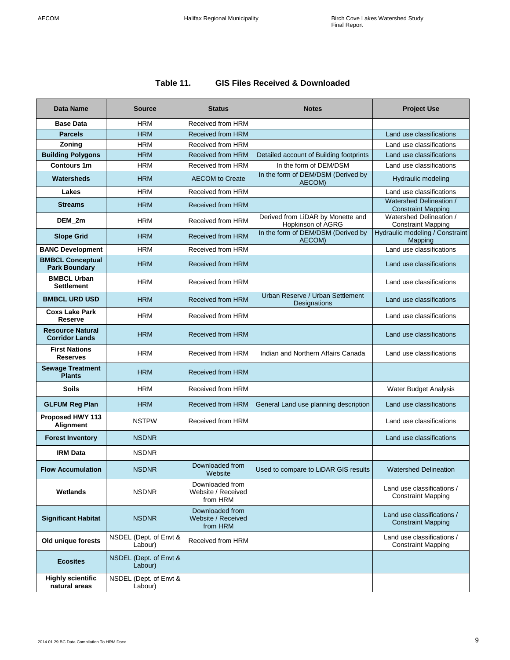## **Table 11. GIS Files Received & Downloaded**

<span id="page-8-0"></span>

| <b>Data Name</b>                                 | <b>Source</b>                     | <b>Status</b>                                     | <b>Notes</b>                                           | <b>Project Use</b>                                      |  |
|--------------------------------------------------|-----------------------------------|---------------------------------------------------|--------------------------------------------------------|---------------------------------------------------------|--|
| <b>Base Data</b>                                 | <b>HRM</b>                        | Received from HRM                                 |                                                        |                                                         |  |
| <b>Parcels</b>                                   | <b>HRM</b>                        | <b>Received from HRM</b>                          |                                                        | Land use classifications                                |  |
| Zoning                                           | <b>HRM</b>                        | Received from HRM                                 |                                                        | Land use classifications                                |  |
| <b>Building Polygons</b>                         | <b>HRM</b>                        | <b>Received from HRM</b>                          | Detailed account of Building footprints                | Land use classifications                                |  |
| <b>Contours 1m</b>                               | <b>HRM</b>                        | Received from HRM                                 | In the form of DEM/DSM                                 | Land use classifications                                |  |
| Watersheds                                       | <b>HRM</b>                        | <b>AECOM</b> to Create                            | In the form of DEM/DSM (Derived by<br>AECOM)           | <b>Hydraulic modeling</b>                               |  |
| Lakes                                            | <b>HRM</b>                        | Received from HRM                                 |                                                        | Land use classifications                                |  |
| <b>Streams</b>                                   | <b>HRM</b>                        | <b>Received from HRM</b>                          |                                                        | Watershed Delineation /<br><b>Constraint Mapping</b>    |  |
| DEM_2m                                           | <b>HRM</b>                        | Received from HRM                                 | Derived from LiDAR by Monette and<br>Hopkinson of AGRG | Watershed Delineation /<br><b>Constraint Mapping</b>    |  |
| <b>Slope Grid</b>                                | <b>HRM</b>                        | <b>Received from HRM</b>                          | In the form of DEM/DSM (Derived by<br>AECOM)           | Hydraulic modeling / Constraint<br>Mapping              |  |
| <b>BANC Development</b>                          | <b>HRM</b>                        | Received from HRM                                 |                                                        | Land use classifications                                |  |
| <b>BMBCL Conceptual</b><br><b>Park Boundary</b>  | <b>HRM</b>                        | <b>Received from HRM</b>                          |                                                        | Land use classifications                                |  |
| <b>BMBCL Urban</b><br><b>Settlement</b>          | <b>HRM</b>                        | Received from HRM                                 |                                                        | Land use classifications                                |  |
| <b>BMBCL URD USD</b>                             | <b>HRM</b>                        | <b>Received from HRM</b>                          | Urban Reserve / Urban Settlement<br>Designations       | Land use classifications                                |  |
| <b>Coxs Lake Park</b><br>Reserve                 | <b>HRM</b>                        | Received from HRM                                 |                                                        | Land use classifications                                |  |
| <b>Resource Natural</b><br><b>Corridor Lands</b> | <b>HRM</b>                        | <b>Received from HRM</b>                          |                                                        | Land use classifications                                |  |
| <b>First Nations</b><br><b>Reserves</b>          | <b>HRM</b>                        | Received from HRM                                 | Indian and Northern Affairs Canada                     | Land use classifications                                |  |
| <b>Sewage Treatment</b><br><b>Plants</b>         | <b>HRM</b>                        | <b>Received from HRM</b>                          |                                                        |                                                         |  |
| <b>Soils</b>                                     | <b>HRM</b>                        | Received from HRM                                 |                                                        | Water Budget Analysis                                   |  |
| <b>GLFUM Reg Plan</b>                            | <b>HRM</b>                        | <b>Received from HRM</b>                          | General Land use planning description                  | Land use classifications                                |  |
| Proposed HWY 113<br>Alignment                    | <b>NSTPW</b>                      | Received from HRM                                 |                                                        | Land use classifications                                |  |
| <b>Forest Inventory</b>                          | <b>NSDNR</b>                      |                                                   |                                                        | Land use classifications                                |  |
| <b>IRM Data</b>                                  | <b>NSDNR</b>                      |                                                   |                                                        |                                                         |  |
| <b>Flow Accumulation</b>                         | <b>NSDNR</b>                      | Downloaded from<br>Website                        | Used to compare to LiDAR GIS results                   | <b>Watershed Delineation</b>                            |  |
| Wetlands                                         | <b>NSDNR</b>                      | Downloaded from<br>Website / Received<br>from HRM |                                                        | Land use classifications /<br><b>Constraint Mapping</b> |  |
| <b>Significant Habitat</b>                       | <b>NSDNR</b>                      | Downloaded from<br>Website / Received<br>from HRM |                                                        | Land use classifications /<br><b>Constraint Mapping</b> |  |
| Old unique forests                               | NSDEL (Dept. of Envt &<br>Labour) | Received from HRM                                 |                                                        | Land use classifications /<br><b>Constraint Mapping</b> |  |
| <b>Ecosites</b>                                  | NSDEL (Dept. of Envt &<br>Labour) |                                                   |                                                        |                                                         |  |
| <b>Highly scientific</b><br>natural areas        | NSDEL (Dept. of Envt &<br>Labour) |                                                   |                                                        |                                                         |  |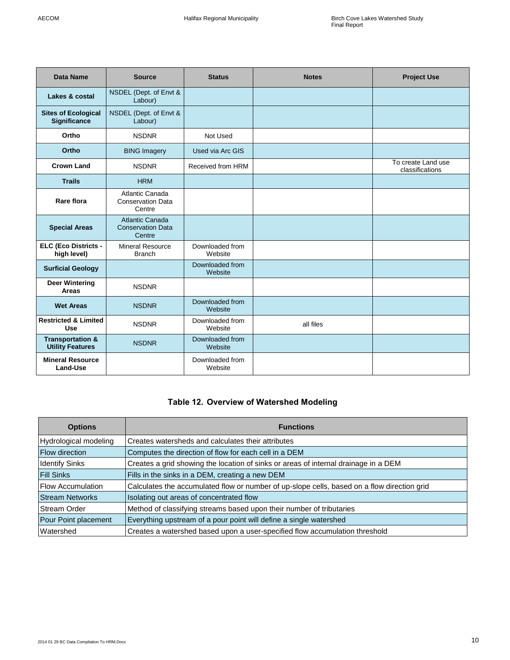| <b>Data Name</b>                                       | <b>Source</b>                                         | <b>Status</b>              | <b>Notes</b> | <b>Project Use</b>                    |
|--------------------------------------------------------|-------------------------------------------------------|----------------------------|--------------|---------------------------------------|
| Lakes & costal                                         | NSDEL (Dept. of Envt &<br>Labour)                     |                            |              |                                       |
| <b>Sites of Ecological</b><br>Significance             | NSDEL (Dept. of Envt &<br>Labour)                     |                            |              |                                       |
| Ortho                                                  | <b>NSDNR</b>                                          | Not Used                   |              |                                       |
| Ortho                                                  | <b>BING Imagery</b>                                   | Used via Arc GIS           |              |                                       |
| <b>Crown Land</b>                                      | <b>NSDNR</b>                                          | Received from HRM          |              | To create Land use<br>classifications |
| <b>Trails</b>                                          | <b>HRM</b>                                            |                            |              |                                       |
| Rare flora                                             | Atlantic Canada<br><b>Conservation Data</b><br>Centre |                            |              |                                       |
| <b>Special Areas</b>                                   | Atlantic Canada<br><b>Conservation Data</b><br>Centre |                            |              |                                       |
| <b>ELC (Eco Districts -</b><br>high level)             | <b>Mineral Resource</b><br><b>Branch</b>              | Downloaded from<br>Website |              |                                       |
| <b>Surficial Geology</b>                               |                                                       | Downloaded from<br>Website |              |                                       |
| <b>Deer Wintering</b><br><b>Areas</b>                  | <b>NSDNR</b>                                          |                            |              |                                       |
| <b>Wet Areas</b>                                       | <b>NSDNR</b>                                          | Downloaded from<br>Website |              |                                       |
| <b>Restricted &amp; Limited</b><br><b>Use</b>          | <b>NSDNR</b>                                          | Downloaded from<br>Website | all files    |                                       |
| <b>Transportation &amp;</b><br><b>Utility Features</b> | <b>NSDNR</b>                                          | Downloaded from<br>Website |              |                                       |
| <b>Mineral Resource</b><br>Land-Use                    |                                                       | Downloaded from<br>Website |              |                                       |

## **Table 12. Overview of Watershed Modeling**

<span id="page-9-0"></span>

| <b>Options</b>           | <b>Functions</b>                                                                            |
|--------------------------|---------------------------------------------------------------------------------------------|
| Hydrological modeling    | Creates watersheds and calculates their attributes                                          |
| <b>Flow direction</b>    | Computes the direction of flow for each cell in a DEM                                       |
| <b>Identify Sinks</b>    | Creates a grid showing the location of sinks or areas of internal drainage in a DEM         |
| <b>Fill Sinks</b>        | Fills in the sinks in a DEM, creating a new DEM                                             |
| <b>Flow Accumulation</b> | Calculates the accumulated flow or number of up-slope cells, based on a flow direction grid |
| <b>Stream Networks</b>   | Isolating out areas of concentrated flow                                                    |
| <b>Stream Order</b>      | Method of classifying streams based upon their number of tributaries                        |
| Pour Point placement     | Everything upstream of a pour point will define a single watershed                          |
| <b>Watershed</b>         | Creates a watershed based upon a user-specified flow accumulation threshold                 |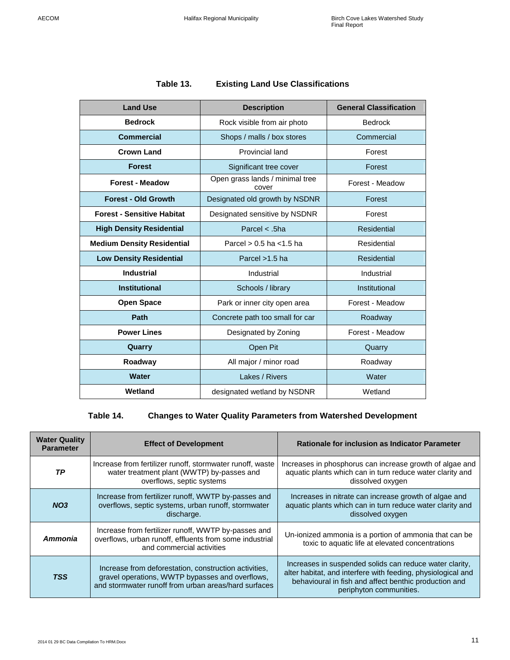## **Table 13. Existing Land Use Classifications**

<span id="page-10-0"></span>

| <b>Land Use</b>                   | <b>Description</b>                       | <b>General Classification</b> |
|-----------------------------------|------------------------------------------|-------------------------------|
| <b>Bedrock</b>                    | Rock visible from air photo              | <b>Bedrock</b>                |
| <b>Commercial</b>                 | Shops / malls / box stores               | Commercial                    |
| <b>Crown Land</b>                 | Provincial land                          | Forest                        |
| <b>Forest</b>                     | Significant tree cover                   | Forest                        |
| <b>Forest - Meadow</b>            | Open grass lands / minimal tree<br>cover | Forest - Meadow               |
| <b>Forest - Old Growth</b>        | Designated old growth by NSDNR           | Forest                        |
| <b>Forest - Sensitive Habitat</b> | Designated sensitive by NSDNR            | Forest                        |
| <b>High Density Residential</b>   | Parcel $<$ .5ha                          | <b>Residential</b>            |
| <b>Medium Density Residential</b> | Parcel $> 0.5$ ha $< 1.5$ ha             |                               |
| <b>Low Density Residential</b>    | Parcel >1.5 ha                           |                               |
| <b>Industrial</b>                 | Industrial                               | Industrial                    |
| <b>Institutional</b>              | Schools / library                        | Institutional                 |
| <b>Open Space</b>                 | Park or inner city open area             | Forest - Meadow               |
| Path                              | Concrete path too small for car          | Roadway                       |
| <b>Power Lines</b>                | Designated by Zoning                     | Forest - Meadow               |
| Quarry                            | Open Pit                                 | Quarry                        |
| Roadway                           | All major / minor road                   | Roadway                       |
| <b>Water</b>                      | Lakes / Rivers                           | Water                         |
| Wetland                           | designated wetland by NSDNR              | Wetland                       |

## **Table 14. Changes to Water Quality Parameters from Watershed Development**

<span id="page-10-1"></span>

| <b>Water Quality</b><br><b>Parameter</b> | <b>Effect of Development</b>                                                                                                                                     | <b>Rationale for inclusion as Indicator Parameter</b>                                                                                                                                                       |
|------------------------------------------|------------------------------------------------------------------------------------------------------------------------------------------------------------------|-------------------------------------------------------------------------------------------------------------------------------------------------------------------------------------------------------------|
| TP                                       | Increase from fertilizer runoff, stormwater runoff, waste<br>water treatment plant (WWTP) by-passes and<br>overflows, septic systems                             | Increases in phosphorus can increase growth of algae and<br>aquatic plants which can in turn reduce water clarity and<br>dissolved oxygen                                                                   |
| NO <sub>3</sub>                          | Increase from fertilizer runoff, WWTP by-passes and<br>overflows, septic systems, urban runoff, stormwater<br>discharge.                                         | Increases in nitrate can increase growth of algae and<br>aquatic plants which can in turn reduce water clarity and<br>dissolved oxygen                                                                      |
| Ammonia                                  | Increase from fertilizer runoff, WWTP by-passes and<br>overflows, urban runoff, effluents from some industrial<br>and commercial activities                      | Un-ionized ammonia is a portion of ammonia that can be<br>toxic to aquatic life at elevated concentrations                                                                                                  |
| <b>TSS</b>                               | Increase from deforestation, construction activities,<br>gravel operations, WWTP bypasses and overflows,<br>and stormwater runoff from urban areas/hard surfaces | Increases in suspended solids can reduce water clarity,<br>alter habitat, and interfere with feeding, physiological and<br>behavioural in fish and affect benthic production and<br>periphyton communities. |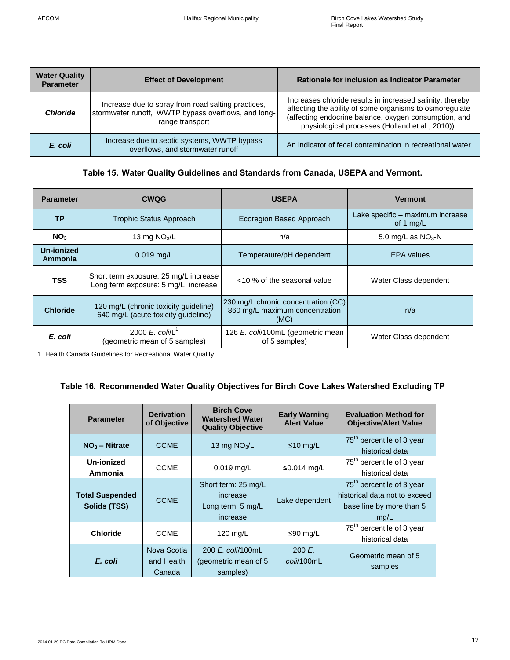| <b>Water Quality</b><br><b>Parameter</b> | <b>Effect of Development</b>                                                                                                 | Rationale for inclusion as Indicator Parameter                                                                                                                                                                                    |
|------------------------------------------|------------------------------------------------------------------------------------------------------------------------------|-----------------------------------------------------------------------------------------------------------------------------------------------------------------------------------------------------------------------------------|
| <b>Chloride</b>                          | Increase due to spray from road salting practices,<br>stormwater runoff, WWTP bypass overflows, and long-<br>range transport | Increases chloride results in increased salinity, thereby<br>affecting the ability of some organisms to osmoregulate<br>(affecting endocrine balance, oxygen consumption, and<br>physiological processes (Holland et al., 2010)). |
| E. coli                                  | Increase due to septic systems, WWTP bypass<br>overflows, and stormwater runoff                                              | An indicator of fecal contamination in recreational water                                                                                                                                                                         |

#### **Table 15. Water Quality Guidelines and Standards from Canada, USEPA and Vermont.**

<span id="page-11-0"></span>

| <b>Parameter</b>             | <b>CWQG</b>                                                                  | <b>USEPA</b>                                                                  | <b>Vermont</b>                                  |
|------------------------------|------------------------------------------------------------------------------|-------------------------------------------------------------------------------|-------------------------------------------------|
| <b>TP</b>                    | <b>Trophic Status Approach</b>                                               | Ecoregion Based Approach                                                      | Lake specific – maximum increase<br>of 1 $mg/L$ |
| NO <sub>3</sub>              | 13 mg $NO3/L$                                                                | n/a                                                                           | 5.0 mg/L as $NO3$ -N                            |
| <b>Un-ionized</b><br>Ammonia | $0.019$ mg/L                                                                 | Temperature/pH dependent                                                      | <b>EPA</b> values                               |
| <b>TSS</b>                   | Short term exposure: 25 mg/L increase<br>Long term exposure: 5 mg/L increase | <10 % of the seasonal value                                                   | Water Class dependent                           |
| <b>Chloride</b>              | 120 mg/L (chronic toxicity guideline)<br>640 mg/L (acute toxicity guideline) | 230 mg/L chronic concentration (CC)<br>860 mg/L maximum concentration<br>(MC) | n/a                                             |
| E. coli                      | 2000 E. coli/L <sup>1</sup><br>(geometric mean of 5 samples)                 | 126 E. coli/100mL (geometric mean<br>of 5 samples)                            | Water Class dependent                           |

1. Health Canada Guidelines for Recreational Water Quality

## <span id="page-11-1"></span>**Table 16. Recommended Water Quality Objectives for Birch Cove Lakes Watershed Excluding TP**

| <b>Parameter</b>                                                                                         | <b>Derivation</b><br>of Objective                                                                 | <b>Birch Cove</b><br><b>Watershed Water</b><br><b>Quality Objective</b> | <b>Early Warning</b><br><b>Alert Value</b>                                                                 | <b>Evaluation Method for</b><br><b>Objective/Alert Value</b> |
|----------------------------------------------------------------------------------------------------------|---------------------------------------------------------------------------------------------------|-------------------------------------------------------------------------|------------------------------------------------------------------------------------------------------------|--------------------------------------------------------------|
| $NO3 - Nitrate$                                                                                          | <b>CCME</b>                                                                                       | 13 mg $NO3/L$                                                           | ≤10 mg/L                                                                                                   | 75 <sup>th</sup> percentile of 3 year<br>historical data     |
| Un-ionized<br>Ammonia                                                                                    | <b>CCME</b>                                                                                       | $0.019$ mg/L                                                            | ≤0.014 mg/L                                                                                                | 75 <sup>th</sup> percentile of 3 year<br>historical data     |
| <b>Total Suspended</b><br>Solids (TSS)                                                                   | Short term: 25 mg/L<br>increase<br><b>CCME</b><br>Lake dependent<br>Long term: 5 mg/L<br>increase |                                                                         | 75 <sup>th</sup> percentile of 3 year<br>historical data not to exceed<br>base line by more than 5<br>mg/L |                                                              |
| <b>Chloride</b>                                                                                          | <b>CCME</b>                                                                                       | 120 mg/L                                                                | ≤90 mg/L                                                                                                   | 75 <sup>th</sup> percentile of 3 year<br>historical data     |
| Nova Scotia<br>200 E. coli/100mL<br>E. coli<br>and Health<br>(geometric mean of 5)<br>Canada<br>samples) |                                                                                                   | 200 E.<br>coli/100mL                                                    | Geometric mean of 5<br>samples                                                                             |                                                              |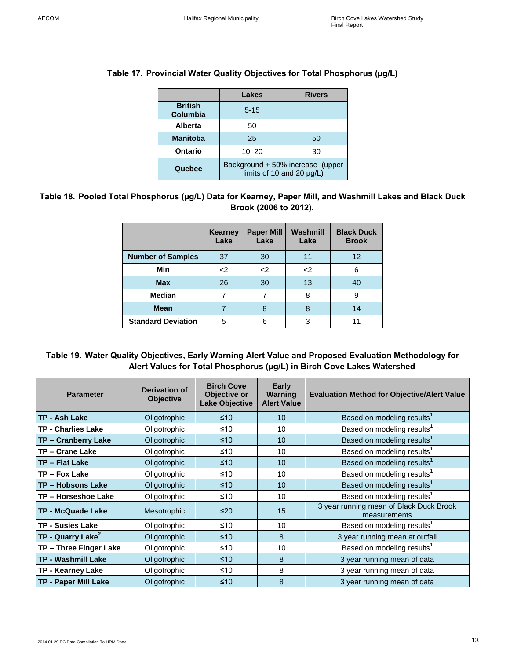|                                   | Lakes                                                         | <b>Rivers</b> |  |
|-----------------------------------|---------------------------------------------------------------|---------------|--|
| <b>British</b><br><b>Columbia</b> | $5 - 15$                                                      |               |  |
| Alberta                           | 50                                                            |               |  |
| <b>Manitoba</b>                   | 25                                                            | 50            |  |
| <b>Ontario</b>                    | 10, 20<br>30                                                  |               |  |
| Quebec                            | Background + 50% increase (upper<br>limits of 10 and 20 µg/L) |               |  |

#### <span id="page-12-0"></span>**Table 17. Provincial Water Quality Objectives for Total Phosphorus (µg/L)**

#### <span id="page-12-1"></span>**Table 18. Pooled Total Phosphorus (µg/L) Data for Kearney, Paper Mill, and Washmill Lakes and Black Duck Brook (2006 to 2012).**

|                           | <b>Kearney</b><br>Lake | <b>Paper Mill</b><br>Lake | Washmill<br>Lake | <b>Black Duck</b><br><b>Brook</b> |
|---------------------------|------------------------|---------------------------|------------------|-----------------------------------|
| <b>Number of Samples</b>  | 37                     | 30                        | 11               | $12 \overline{ }$                 |
| Min                       | $2$                    | <                         | <                | 6                                 |
| <b>Max</b>                | 26                     | 30                        | 13               | 40                                |
| <b>Median</b>             |                        |                           | 8                | 9                                 |
| <b>Mean</b>               |                        | 8                         | 8                | 14                                |
| <b>Standard Deviation</b> | 5                      | 6                         | 3                | 11                                |

#### <span id="page-12-2"></span>**Table 19. Water Quality Objectives, Early Warning Alert Value and Proposed Evaluation Methodology for Alert Values for Total Phosphorus (µg/L) in Birch Cove Lakes Watershed**

| <b>Parameter</b>                | <b>Derivation of</b><br><b>Objective</b> | <b>Birch Cove</b><br>Objective or<br><b>Lake Objective</b> | <b>Early</b><br>Warning<br><b>Alert Value</b> | <b>Evaluation Method for Objective/Alert Value</b>      |
|---------------------------------|------------------------------------------|------------------------------------------------------------|-----------------------------------------------|---------------------------------------------------------|
| TP - Ash Lake                   | Oligotrophic                             | $\leq 10$                                                  | 10                                            | Based on modeling results <sup>1</sup>                  |
| <b>TP - Charlies Lake</b>       | Oligotrophic                             | ≤10                                                        | 10                                            | Based on modeling results <sup>1</sup>                  |
| <b>TP - Cranberry Lake</b>      | Oligotrophic                             | $≤10$                                                      | 10                                            | Based on modeling results <sup>1</sup>                  |
| TP - Crane Lake                 | Oligotrophic                             | ≤10                                                        | 10                                            | Based on modeling results <sup>1</sup>                  |
| <b>ITP – Flat Lake</b>          | Oligotrophic                             | $≤10$                                                      | 10                                            | Based on modeling results <sup>1</sup>                  |
| TP - Fox Lake                   | Oligotrophic                             | ≤10                                                        | 10                                            | Based on modeling results <sup>1</sup>                  |
| <b>TP – Hobsons Lake</b>        | Oligotrophic                             | $≤10$                                                      | 10                                            | Based on modeling results <sup>1</sup>                  |
| TP - Horseshoe Lake             | Oligotrophic                             | ≤10                                                        | 10                                            | Based on modeling results <sup>1</sup>                  |
| <b>TP - McQuade Lake</b>        | <b>Mesotrophic</b>                       | ≤20                                                        | 15                                            | 3 year running mean of Black Duck Brook<br>measurements |
| <b>TP - Susies Lake</b>         | Oligotrophic                             | ≤10                                                        | 10                                            | Based on modeling results <sup>1</sup>                  |
| $TP -$ Quarry Lake <sup>2</sup> | Oligotrophic                             | ≤10                                                        | 8                                             | 3 year running mean at outfall                          |
| TP - Three Finger Lake          | Oligotrophic                             | ≤10                                                        | 10                                            | Based on modeling results <sup>1</sup>                  |
| <b>TP - Washmill Lake</b>       | Oligotrophic                             | $≤10$                                                      | 8                                             | 3 year running mean of data                             |
| TP - Kearney Lake               | Oligotrophic                             | ≤10                                                        | 8                                             | 3 year running mean of data                             |
| <b>TP - Paper Mill Lake</b>     | Oligotrophic                             | ≤10                                                        | 8                                             | 3 year running mean of data                             |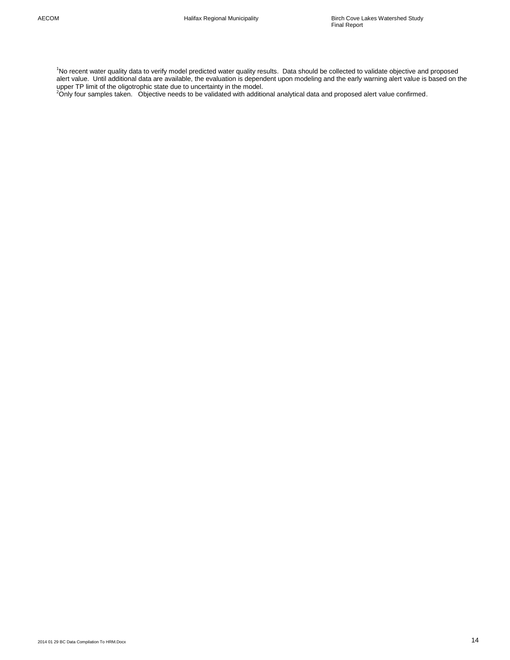<sup>1</sup>No recent water quality data to verify model predicted water quality results. Data should be collected to validate objective and proposed alert value. Until additional data are available, the evaluation is dependent upon modeling and the early warning alert value is based on the

upper TP limit of the oligotrophic state due to uncertainty in the model.<br><sup>2</sup>Only four samples taken. Objective needs to be validated with additional analytical data and proposed alert value confirmed.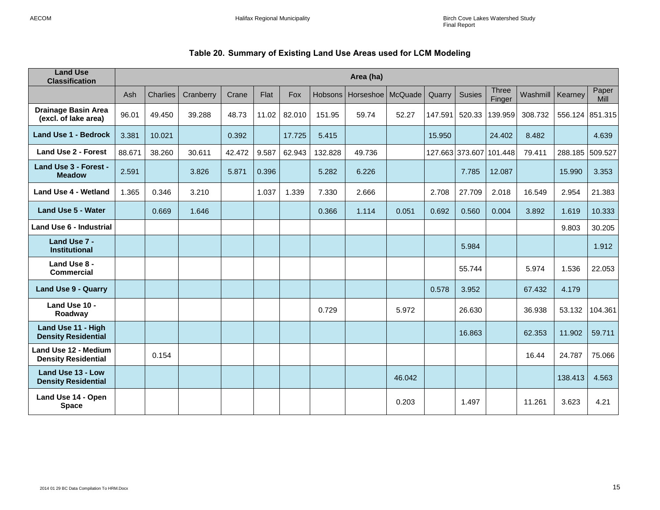## **Table 20. Summary of Existing Land Use Areas used for LCM Modeling**

<span id="page-14-0"></span>

| <b>Land Use</b><br><b>Classification</b>           | Area (ha) |                 |           |        |       |        |                |                     |        |         |               |                         |          |                 |                      |
|----------------------------------------------------|-----------|-----------------|-----------|--------|-------|--------|----------------|---------------------|--------|---------|---------------|-------------------------|----------|-----------------|----------------------|
|                                                    | Ash       | <b>Charlies</b> | Cranberry | Crane  | Flat  | Fox    | <b>Hobsons</b> | Horseshoe   McQuade |        | Quarry  | <b>Susies</b> | <b>Three</b><br>Finger  | Washmill | Kearney         | Paper<br><b>Mill</b> |
| <b>Drainage Basin Area</b><br>(excl. of lake area) | 96.01     | 49.450          | 39.288    | 48.73  | 11.02 | 82.010 | 151.95         | 59.74               | 52.27  | 147.591 | 520.33        | 139.959                 | 308.732  | 556.124 851.315 |                      |
| <b>Land Use 1 - Bedrock</b>                        | 3.381     | 10.021          |           | 0.392  |       | 17.725 | 5.415          |                     |        | 15.950  |               | 24.402                  | 8.482    |                 | 4.639                |
| <b>Land Use 2 - Forest</b>                         | 88.671    | 38.260          | 30.611    | 42.472 | 9.587 | 62.943 | 132.828        | 49.736              |        |         |               | 127.663 373.607 101.448 | 79.411   | 288.185         | 509.527              |
| Land Use 3 - Forest -<br><b>Meadow</b>             | 2.591     |                 | 3.826     | 5.871  | 0.396 |        | 5.282          | 6.226               |        |         | 7.785         | 12.087                  |          | 15.990          | 3.353                |
| <b>Land Use 4 - Wetland</b>                        | 1.365     | 0.346           | 3.210     |        | 1.037 | 1.339  | 7.330          | 2.666               |        | 2.708   | 27.709        | 2.018                   | 16.549   | 2.954           | 21.383               |
| <b>Land Use 5 - Water</b>                          |           | 0.669           | 1.646     |        |       |        | 0.366          | 1.114               | 0.051  | 0.692   | 0.560         | 0.004                   | 3.892    | 1.619           | 10.333               |
| <b>Land Use 6 - Industrial</b>                     |           |                 |           |        |       |        |                |                     |        |         |               |                         |          | 9.803           | 30.205               |
| Land Use 7 -<br><b>Institutional</b>               |           |                 |           |        |       |        |                |                     |        |         | 5.984         |                         |          |                 | 1.912                |
| Land Use 8 -<br><b>Commercial</b>                  |           |                 |           |        |       |        |                |                     |        |         | 55.744        |                         | 5.974    | 1.536           | 22.053               |
| <b>Land Use 9 - Quarry</b>                         |           |                 |           |        |       |        |                |                     |        | 0.578   | 3.952         |                         | 67.432   | 4.179           |                      |
| Land Use 10 -<br>Roadway                           |           |                 |           |        |       |        | 0.729          |                     | 5.972  |         | 26.630        |                         | 36.938   | 53.132          | 104.361              |
| Land Use 11 - High<br><b>Density Residential</b>   |           |                 |           |        |       |        |                |                     |        |         | 16.863        |                         | 62.353   | 11.902          | 59.711               |
| Land Use 12 - Medium<br><b>Density Residential</b> |           | 0.154           |           |        |       |        |                |                     |        |         |               |                         | 16.44    | 24.787          | 75.066               |
| Land Use 13 - Low<br><b>Density Residential</b>    |           |                 |           |        |       |        |                |                     | 46.042 |         |               |                         |          | 138.413         | 4.563                |
| Land Use 14 - Open<br><b>Space</b>                 |           |                 |           |        |       |        |                |                     | 0.203  |         | 1.497         |                         | 11.261   | 3.623           | 4.21                 |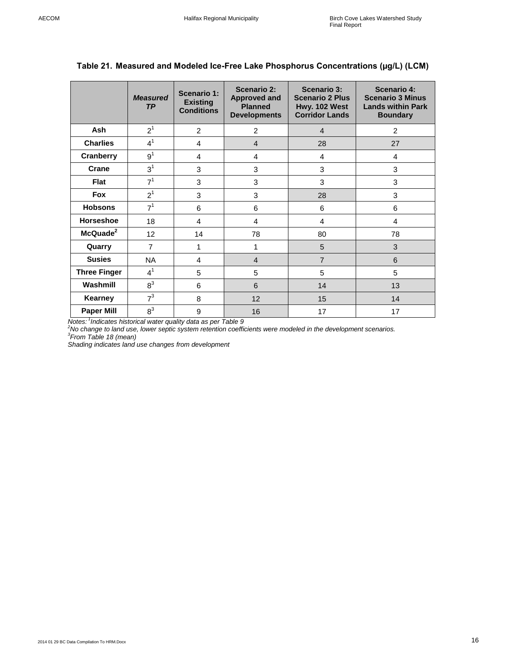|                      | <b>Measured</b><br><b>TP</b> | Scenario 1:<br><b>Existing</b><br><b>Conditions</b> | <b>Scenario 2:</b><br><b>Approved and</b><br><b>Planned</b><br><b>Developments</b> | <b>Scenario 3:</b><br><b>Scenario 2 Plus</b><br>Hwy. 102 West<br><b>Corridor Lands</b> | <b>Scenario 4:</b><br><b>Scenario 3 Minus</b><br><b>Lands within Park</b><br><b>Boundary</b> |
|----------------------|------------------------------|-----------------------------------------------------|------------------------------------------------------------------------------------|----------------------------------------------------------------------------------------|----------------------------------------------------------------------------------------------|
| <b>Ash</b>           | $2^1$                        | 2                                                   | $\overline{2}$                                                                     | $\overline{4}$                                                                         | 2                                                                                            |
| <b>Charlies</b>      | $4^1$                        | 4                                                   | $\overline{4}$                                                                     | 28                                                                                     | 27                                                                                           |
| Cranberry            | 9 <sup>1</sup>               | 4                                                   | 4                                                                                  | 4                                                                                      | 4                                                                                            |
| Crane                | 3 <sup>1</sup>               | 3                                                   | $\mathbf 3$                                                                        | 3                                                                                      | 3                                                                                            |
| Flat                 | 7 <sup>1</sup>               | 3                                                   | 3                                                                                  | 3                                                                                      | 3                                                                                            |
| <b>Fox</b>           | 2 <sup>1</sup>               | 3                                                   | 3                                                                                  | 28                                                                                     | 3                                                                                            |
| <b>Hobsons</b>       | 7 <sup>1</sup>               | 6                                                   | 6                                                                                  | 6                                                                                      | 6                                                                                            |
| <b>Horseshoe</b>     | 18                           | 4                                                   | $\overline{4}$                                                                     | 4                                                                                      | $\overline{4}$                                                                               |
| McQuade <sup>2</sup> | 12 <sub>2</sub>              | 14                                                  | 78                                                                                 | 80                                                                                     | 78                                                                                           |
| Quarry               | $\overline{7}$               | 1                                                   | 1                                                                                  | 5                                                                                      | 3                                                                                            |
| <b>Susies</b>        | <b>NA</b>                    | 4                                                   | $\overline{4}$                                                                     | $\overline{7}$                                                                         | 6                                                                                            |
| <b>Three Finger</b>  | 4 <sup>1</sup>               | 5                                                   | 5                                                                                  | 5                                                                                      | 5                                                                                            |
| Washmill             | $8^3$                        | 6                                                   | 6                                                                                  | 14                                                                                     | 13                                                                                           |
| <b>Kearney</b>       | 7 <sup>3</sup>               | 8                                                   | 12                                                                                 | 15                                                                                     | 14                                                                                           |
| <b>Paper Mill</b>    | $8^3$                        | 9                                                   | 16                                                                                 | 17                                                                                     | 17                                                                                           |

## <span id="page-15-0"></span>**Table 21. Measured and Modeled Ice-Free Lake Phosphorus Concentrations (µg/L) (LCM)**

Notes: <sup>1</sup>Indicates historical water quality data as per Table 9<br><sup>2</sup>No change to land use, lower septic system retention coefficients were modeled in the development scenarios.<br><sup>3</sup>From Table 18 (mean)

*Shading indicates land use changes from development*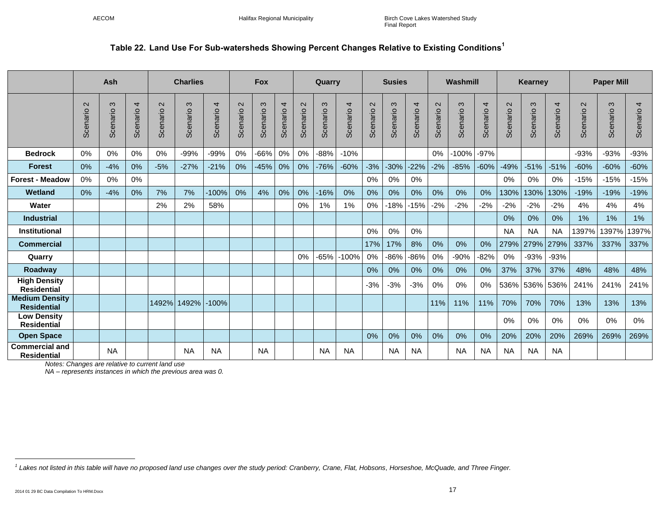## **Table 22. Land Use For Sub-watersheds Showing Percent Changes Relative to Existing Conditions<sup>1</sup>**

<span id="page-16-0"></span>

|                                             |                               | Ash                  |               |                               | <b>Charlies</b>      |                            |                               | <b>Fox</b>           |               |                    | Quarry        |                            |                               | <b>Susies</b> |               |                               | Washmill             |               |                               | Kearney       |                            |                               | <b>Paper Mill</b>    |                            |
|---------------------------------------------|-------------------------------|----------------------|---------------|-------------------------------|----------------------|----------------------------|-------------------------------|----------------------|---------------|--------------------|---------------|----------------------------|-------------------------------|---------------|---------------|-------------------------------|----------------------|---------------|-------------------------------|---------------|----------------------------|-------------------------------|----------------------|----------------------------|
|                                             | $\mathbf{\Omega}$<br>Scenario | $\infty$<br>Scenario | 4<br>Scenario | $\mathbf{\Omega}$<br>Scenario | $\infty$<br>Scenario | $\overline{4}$<br>Scenario | $\mathbf{\Omega}$<br>Scenario | $\infty$<br>Scenario | 4<br>Scenario | $\sim$<br>Scenario | ო<br>Scenario | $\overline{4}$<br>Scenario | $\mathbf{\Omega}$<br>Scenario | ო<br>Scenario | 4<br>Scenario | $\mathbf{\Omega}$<br>Scenario | $\infty$<br>Scenario | 4<br>Scenario | $\mathbf{\Omega}$<br>Scenario | ო<br>Scenario | $\overline{4}$<br>Scenario | $\mathbf{\Omega}$<br>Scenario | $\infty$<br>Scenario | $\overline{4}$<br>Scenario |
| <b>Bedrock</b>                              | 0%                            | $0\%$                | 0%            | 0%                            | $-99%$               | $-99%$                     | 0%                            | -66%                 | 0%            | 0%                 | $-88%$        | $-10%$                     |                               |               |               | 0%                            | $-100%$              | $-97%$        |                               |               |                            | $-93%$                        | $-93%$               | $-93%$                     |
| <b>Forest</b>                               | 0%                            | $-4%$                | 0%            | $-5%$                         | $-27%$               | $-21%$                     | 0%                            | $-45%$               | 0%            | 0%                 | $-76%$        | $-60%$                     | $-3%$                         | $-30%$        | $-22%$        | $-2%$                         | $-85%$               | $-60%$        | $-49%$                        | $-51%$        | $-51%$                     | $-60%$                        | $-60%$               | $-60%$                     |
| <b>Forest - Meadow</b>                      | 0%                            | 0%                   | 0%            |                               |                      |                            |                               |                      |               |                    |               |                            | 0%                            | 0%            | 0%            |                               |                      |               | 0%                            | 0%            | 0%                         | $-15%$                        | $-15%$               | $-15%$                     |
| Wetland                                     | 0%                            | $-4%$                | $0\%$         | 7%                            | 7%                   | $-100%$                    | 0%                            | 4%                   | 0%            | 0%                 | $-16%$        | 0%                         | 0%                            | 0%            | 0%            | 0%                            | $0\%$                | 0%            | 130%                          | 130%          | 130%                       | $-19%$                        | $-19%$               | $-19%$                     |
| Water                                       |                               |                      |               | 2%                            | 2%                   | 58%                        |                               |                      |               | $0\%$              | $1\%$         | 1%                         | 0%                            | $-18%$        | $-15%$        | $-2%$                         | $-2%$                | $-2%$         | $-2%$                         | $-2%$         | $-2%$                      | 4%                            | 4%                   | 4%                         |
| <b>Industrial</b>                           |                               |                      |               |                               |                      |                            |                               |                      |               |                    |               |                            |                               |               |               |                               |                      |               | 0%                            | $0\%$         | 0%                         | 1%                            | 1%                   | 1%                         |
| <b>Institutional</b>                        |                               |                      |               |                               |                      |                            |                               |                      |               |                    |               |                            | 0%                            | 0%            | 0%            |                               |                      |               | <b>NA</b>                     | <b>NA</b>     | <b>NA</b>                  | 1397%                         | 1397%                | 1397%                      |
| <b>Commercial</b>                           |                               |                      |               |                               |                      |                            |                               |                      |               |                    |               |                            | 17%                           | 17%           | 8%            | 0%                            | 0%                   | 0%            | 279%                          | 279%          | 279%                       | 337%                          | 337%                 | 337%                       |
| Quarry                                      |                               |                      |               |                               |                      |                            |                               |                      |               | 0%                 | $-65%$        | $-100%$                    | 0%                            | $-86%$        | $-86%$        | 0%                            | $-90%$               | $-82%$        | 0%                            | $-93%$        | -93%                       |                               |                      |                            |
| Roadway                                     |                               |                      |               |                               |                      |                            |                               |                      |               |                    |               |                            | $0\%$                         | 0%            | 0%            | 0%                            | $0\%$                | 0%            | 37%                           | 37%           | 37%                        | 48%                           | 48%                  | 48%                        |
| <b>High Density</b><br><b>Residential</b>   |                               |                      |               |                               |                      |                            |                               |                      |               |                    |               |                            | $-3%$                         | $-3%$         | $-3%$         | 0%                            | $0\%$                | 0%            | 536%                          | 536%          | 536%                       | 241%                          | 241%                 | 241%                       |
| <b>Medium Density</b><br><b>Residential</b> |                               |                      |               |                               | 1492% 1492% -100%    |                            |                               |                      |               |                    |               |                            |                               |               |               | 11%                           | 11%                  | 11%           | 70%                           | 70%           | 70%                        | 13%                           | 13%                  | 13%                        |
| <b>Low Density</b><br><b>Residential</b>    |                               |                      |               |                               |                      |                            |                               |                      |               |                    |               |                            |                               |               |               |                               |                      |               | 0%                            | 0%            | 0%                         | 0%                            | 0%                   | 0%                         |
| <b>Open Space</b>                           |                               |                      |               |                               |                      |                            |                               |                      |               |                    |               |                            | 0%                            | 0%            | 0%            | 0%                            | 0%                   | 0%            | 20%                           | 20%           | 20%                        | 269%                          | 269%                 | 269%                       |
| <b>Commercial and</b><br><b>Residential</b> |                               | <b>NA</b>            |               |                               | <b>NA</b>            | <b>NA</b>                  |                               | <b>NA</b>            |               |                    | <b>NA</b>     | <b>NA</b>                  |                               | <b>NA</b>     | <b>NA</b>     |                               | <b>NA</b>            | <b>NA</b>     | <b>NA</b>                     | <b>NA</b>     | <b>NA</b>                  |                               |                      |                            |

*Notes: Changes are relative to current land use*

*NA – represents instances in which the previous area was 0.*

l

<sup>&</sup>lt;sup>1</sup> Lakes not listed in this table will have no proposed land use changes over the study period: Cranberry, Crane, Flat, Hobsons, Horseshoe, McQuade, and Three Finger.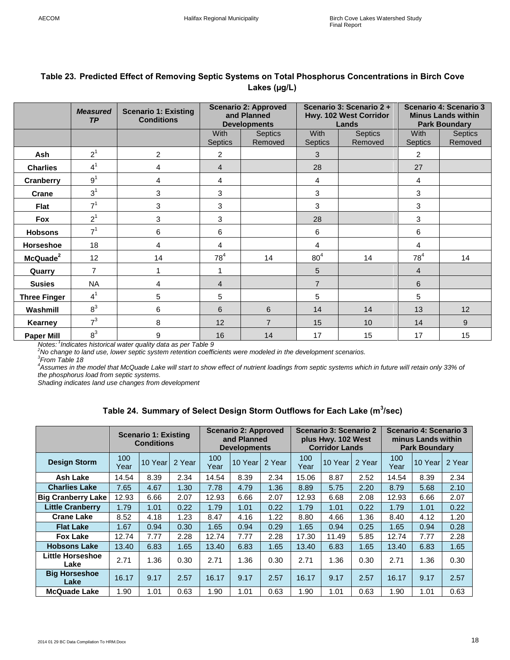|                      | Scenario 3: Scenario 2+<br><b>Scenario 4: Scenario 3</b><br><b>Scenario 2: Approved</b> |                                                  |                               |                                    |                               |                                 |                               |                                                   |  |  |  |  |
|----------------------|-----------------------------------------------------------------------------------------|--------------------------------------------------|-------------------------------|------------------------------------|-------------------------------|---------------------------------|-------------------------------|---------------------------------------------------|--|--|--|--|
|                      | <b>Measured</b><br>TP                                                                   | <b>Scenario 1: Existing</b><br><b>Conditions</b> |                               | and Planned<br><b>Developments</b> |                               | Hwy. 102 West Corridor<br>Lands |                               | <b>Minus Lands within</b><br><b>Park Boundary</b> |  |  |  |  |
|                      |                                                                                         |                                                  | <b>With</b><br><b>Septics</b> | <b>Septics</b><br>Removed          | <b>With</b><br><b>Septics</b> | <b>Septics</b><br>Removed       | <b>With</b><br><b>Septics</b> | <b>Septics</b><br>Removed                         |  |  |  |  |
| Ash                  | 2 <sup>1</sup>                                                                          | 2                                                | $\overline{c}$                |                                    | 3                             |                                 | 2                             |                                                   |  |  |  |  |
| <b>Charlies</b>      | 4 <sup>1</sup>                                                                          | 4                                                | $\overline{4}$                |                                    | 28                            |                                 | 27                            |                                                   |  |  |  |  |
| Cranberry            | 9 <sup>1</sup>                                                                          | 4                                                | 4                             |                                    | 4                             |                                 | 4                             |                                                   |  |  |  |  |
| <b>Crane</b>         | 3 <sup>1</sup>                                                                          | 3                                                | 3                             |                                    | 3                             |                                 | 3                             |                                                   |  |  |  |  |
| Flat                 | 7 <sup>1</sup>                                                                          | 3                                                | 3                             |                                    | 3                             |                                 | 3                             |                                                   |  |  |  |  |
| Fox                  | 2 <sup>1</sup>                                                                          | 3                                                | 3                             |                                    | 28                            |                                 | 3                             |                                                   |  |  |  |  |
| <b>Hobsons</b>       | 7 <sup>1</sup>                                                                          | 6                                                | 6                             |                                    | 6                             |                                 | 6                             |                                                   |  |  |  |  |
| Horseshoe            | 18                                                                                      | 4                                                | 4                             |                                    | 4                             |                                 | 4                             |                                                   |  |  |  |  |
| McQuade <sup>2</sup> | 12                                                                                      | 14                                               | 78 <sup>4</sup>               | 14                                 | 80 <sup>4</sup>               | 14                              | 78 <sup>4</sup>               | 14                                                |  |  |  |  |
| Quarry               | $\overline{7}$                                                                          | 1                                                | 1                             |                                    | 5                             |                                 | 4                             |                                                   |  |  |  |  |
| <b>Susies</b>        | <b>NA</b>                                                                               | 4                                                | 4                             |                                    | $\overline{7}$                |                                 | 6                             |                                                   |  |  |  |  |
| <b>Three Finger</b>  | $4^1$                                                                                   | 5                                                | 5                             |                                    | 5                             |                                 | 5                             |                                                   |  |  |  |  |
| Washmill             | 8 <sup>3</sup>                                                                          | 6                                                | 6                             | 6                                  | 14                            | 14                              | 13                            | 12                                                |  |  |  |  |
| Kearney              | 7 <sup>3</sup>                                                                          | 8                                                | 12                            | $\overline{7}$                     | 15                            | 10                              | 14                            | 9                                                 |  |  |  |  |
| <b>Paper Mill</b>    | $8^3$                                                                                   | 9                                                | 16                            | 14                                 | 17                            | 15                              | 17                            | 15                                                |  |  |  |  |

## <span id="page-17-0"></span>**Table 23. Predicted Effect of Removing Septic Systems on Total Phosphorus Concentrations in Birch Cove Lakes (µg/L)**

*Notes: <sup>1</sup> Indicates historical water quality data as per Table 9 <sup>2</sup>No change to land use, lower septic system retention coefficients were modeled in the development scenarios.*

*3 From Table 18*

*<sup>4</sup>Assumes in the model that McQuade Lake will start to show effect of nutrient loadings from septic systems which in future will retain only 33% of the phosphorus load from septic systems.*

*Shading indicates land use changes from development*

#### **Table 24. Summary of Select Design Storm Outflows for Each Lake (m<sup>3</sup> /sec)**

<span id="page-17-1"></span>

|                                 |             | <b>Scenario 1: Existing</b><br><b>Conditions</b> |        |             | <b>Scenario 2: Approved</b><br>and Planned<br><b>Developments</b> |        |             | Scenario 3: Scenario 2<br>plus Hwy. 102 West<br><b>Corridor Lands</b> |        |             | Scenario 4: Scenario 3<br>minus Lands within<br><b>Park Boundary</b> |        |
|---------------------------------|-------------|--------------------------------------------------|--------|-------------|-------------------------------------------------------------------|--------|-------------|-----------------------------------------------------------------------|--------|-------------|----------------------------------------------------------------------|--------|
| <b>Design Storm</b>             | 100<br>Year | 10 Year                                          | 2 Year | 100<br>Year | 10 Year                                                           | 2 Year | 100<br>Year | 10 Year                                                               | 2 Year | 100<br>Year | 10 Year                                                              | 2 Year |
| Ash Lake                        | 14.54       | 8.39                                             | 2.34   | 14.54       | 8.39                                                              | 2.34   | 15.06       | 8.87                                                                  | 2.52   | 14.54       | 8.39                                                                 | 2.34   |
| <b>Charlies Lake</b>            | 7.65        | 4.67                                             | 1.30   | 7.78        | 4.79                                                              | 1.36   | 8.89        | 5.75                                                                  | 2.20   | 8.79        | 5.68                                                                 | 2.10   |
| <b>Big Cranberry Lake</b>       | 12.93       | 6.66                                             | 2.07   | 12.93       | 6.66                                                              | 2.07   | 12.93       | 6.68                                                                  | 2.08   | 12.93       | 6.66                                                                 | 2.07   |
| <b>Little Cranberry</b>         | 1.79        | 1.01                                             | 0.22   | 1.79        | 1.01                                                              | 0.22   | 1.79        | 1.01                                                                  | 0.22   | 1.79        | 1.01                                                                 | 0.22   |
| <b>Crane Lake</b>               | 8.52        | 4.18                                             | 1.23   | 8.47        | 4.16                                                              | 1.22   | 8.80        | 4.66                                                                  | 1.36   | 8.40        | 4.12                                                                 | 1.20   |
| <b>Flat Lake</b>                | 1.67        | 0.94                                             | 0.30   | 1.65        | 0.94                                                              | 0.29   | 1.65        | 0.94                                                                  | 0.25   | 1.65        | 0.94                                                                 | 0.28   |
| <b>Fox Lake</b>                 | 12.74       | 7.77                                             | 2.28   | 12.74       | 7.77                                                              | 2.28   | 17.30       | 11.49                                                                 | 5.85   | 12.74       | 7.77                                                                 | 2.28   |
| <b>Hobsons Lake</b>             | 13.40       | 6.83                                             | 1.65   | 13.40       | 6.83                                                              | 1.65   | 13.40       | 6.83                                                                  | 1.65   | 13.40       | 6.83                                                                 | 1.65   |
| <b>Little Horseshoe</b><br>Lake | 2.71        | 1.36                                             | 0.30   | 2.71        | 1.36                                                              | 0.30   | 2.71        | 1.36                                                                  | 0.30   | 2.71        | 1.36                                                                 | 0.30   |
| <b>Big Horseshoe</b><br>Lake    | 16.17       | 9.17                                             | 2.57   | 16.17       | 9.17                                                              | 2.57   | 16.17       | 9.17                                                                  | 2.57   | 16.17       | 9.17                                                                 | 2.57   |
| <b>McQuade Lake</b>             | 1.90        | 1.01                                             | 0.63   | 1.90        | 1.01                                                              | 0.63   | 1.90        | 1.01                                                                  | 0.63   | 1.90        | 1.01                                                                 | 0.63   |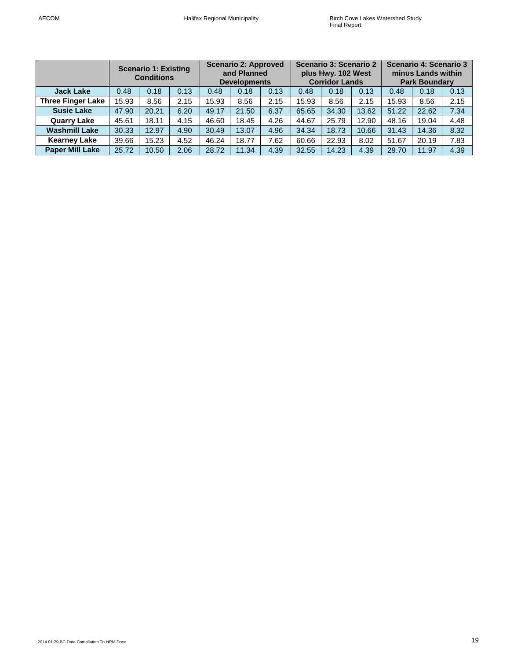|                          |                      | <b>Scenario 1: Existing</b><br><b>Conditions</b> |      |       | <b>Scenario 2: Approved</b><br>and Planned<br><b>Developments</b> |      |       | Scenario 3: Scenario 2<br>plus Hwy. 102 West<br><b>Corridor Lands</b> |       | Scenario 4: Scenario 3<br>minus Lands within<br><b>Park Boundary</b> |       |      |  |
|--------------------------|----------------------|--------------------------------------------------|------|-------|-------------------------------------------------------------------|------|-------|-----------------------------------------------------------------------|-------|----------------------------------------------------------------------|-------|------|--|
| <b>Jack Lake</b>         | 0.13<br>0.18<br>0.48 |                                                  | 0.48 | 0.18  | 0.13                                                              | 0.48 | 0.18  | 0.13                                                                  | 0.48  | 0.18                                                                 | 0.13  |      |  |
| <b>Three Finger Lake</b> | 15.93                | 8.56                                             | 2.15 | 15.93 | 8.56                                                              | 2.15 | 15.93 | 8.56                                                                  | 2.15  | 15.93                                                                | 8.56  | 2.15 |  |
| <b>Susie Lake</b>        | 47.90                | 20.21                                            | 6.20 | 49.17 | 21.50                                                             | 6.37 | 65.65 | 34.30                                                                 | 13.62 | 51.22                                                                | 22.62 | 7.34 |  |
| <b>Quarry Lake</b>       | 45.61                | 18.11                                            | 4.15 | 46.60 | 18.45                                                             | 4.26 | 44.67 | 25.79                                                                 | 12.90 | 48.16                                                                | 19.04 | 4.48 |  |
| <b>Washmill Lake</b>     | 30.33                | 12.97                                            | 4.90 | 30.49 | 13.07                                                             | 4.96 | 34.34 | 18.73                                                                 | 10.66 | 31.43                                                                | 14.36 | 8.32 |  |
| <b>Kearney Lake</b>      | 39.66                | 15.23                                            | 4.52 | 46.24 | 18.77                                                             | 7.62 | 60.66 | 22.93                                                                 | 8.02  | 51.67                                                                | 20.19 | 7.83 |  |
| <b>Paper Mill Lake</b>   | 25.72                | 10.50                                            | 2.06 | 28.72 | 11.34                                                             | 4.39 | 32.55 | 14.23                                                                 | 4.39  | 29.70                                                                | 11.97 | 4.39 |  |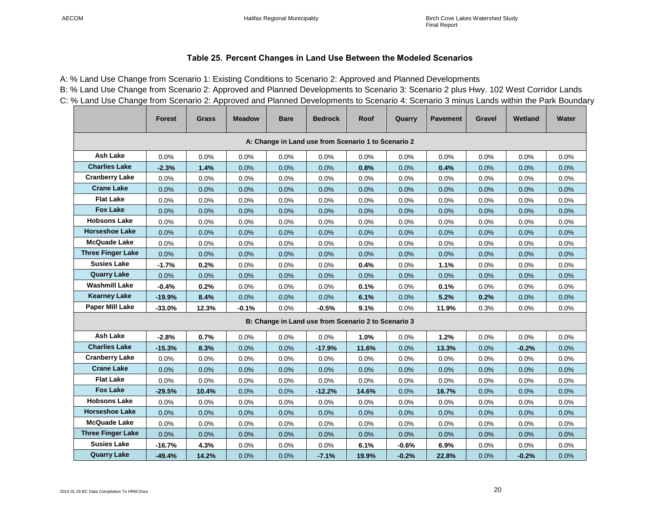#### **Table 25. Percent Changes in Land Use Between the Modeled Scenarios**

A: % Land Use Change from Scenario 1: Existing Conditions to Scenario 2: Approved and Planned Developments B: % Land Use Change from Scenario 2: Approved and Planned Developments to Scenario 3: Scenario 2 plus Hwy. 102 West Corridor Lands C: % Land Use Change from Scenario 2: Approved and Planned Developments to Scenario 4: Scenario 3 minus Lands within the Park Boundary

<span id="page-19-0"></span>

|                          | <b>Forest</b>                                                                                                                                                                                                                                                                     | <b>Grass</b> | <b>Meadow</b> | <b>Bare</b> | <b>Bedrock</b>                                      | Roof  | Quarry  | <b>Pavement</b> | Gravel | Wetland | Water |  |  |  |  |
|--------------------------|-----------------------------------------------------------------------------------------------------------------------------------------------------------------------------------------------------------------------------------------------------------------------------------|--------------|---------------|-------------|-----------------------------------------------------|-------|---------|-----------------|--------|---------|-------|--|--|--|--|
|                          | A: Change in Land use from Scenario 1 to Scenario 2<br><b>Ash Lake</b><br>0.0%<br>0.0%<br>0.0%<br>0.0%<br>0.0%<br>0.0%<br>0.0%<br>0.0%<br>0.0%<br>0.0%<br>0.0%<br><b>Charlies Lake</b><br>1.4%<br>0.8%<br>0.4%<br>0.0%<br>$-2.3%$<br>0.0%<br>0.0%<br>0.0%<br>0.0%<br>0.0%<br>0.0% |              |               |             |                                                     |       |         |                 |        |         |       |  |  |  |  |
|                          |                                                                                                                                                                                                                                                                                   |              |               |             |                                                     |       |         |                 |        |         |       |  |  |  |  |
|                          |                                                                                                                                                                                                                                                                                   |              |               |             |                                                     |       |         |                 |        |         |       |  |  |  |  |
| <b>Cranberry Lake</b>    | 0.0%                                                                                                                                                                                                                                                                              | 0.0%         | 0.0%          | 0.0%        | 0.0%                                                | 0.0%  | 0.0%    | 0.0%            | 0.0%   | 0.0%    | 0.0%  |  |  |  |  |
| <b>Crane Lake</b>        | 0.0%                                                                                                                                                                                                                                                                              | 0.0%         | 0.0%          | 0.0%        | 0.0%                                                | 0.0%  | 0.0%    | 0.0%            | 0.0%   | 0.0%    | 0.0%  |  |  |  |  |
| <b>Flat Lake</b>         | 0.0%                                                                                                                                                                                                                                                                              | 0.0%         | 0.0%          | 0.0%        | 0.0%                                                | 0.0%  | 0.0%    | 0.0%            | 0.0%   | 0.0%    | 0.0%  |  |  |  |  |
| <b>Fox Lake</b>          | 0.0%                                                                                                                                                                                                                                                                              | 0.0%         | 0.0%          | 0.0%        | 0.0%                                                | 0.0%  | 0.0%    | 0.0%            | 0.0%   | 0.0%    | 0.0%  |  |  |  |  |
| <b>Hobsons Lake</b>      | 0.0%                                                                                                                                                                                                                                                                              | 0.0%         | 0.0%          | 0.0%        | 0.0%                                                | 0.0%  | 0.0%    | 0.0%            | 0.0%   | 0.0%    | 0.0%  |  |  |  |  |
| <b>Horseshoe Lake</b>    | 0.0%                                                                                                                                                                                                                                                                              | 0.0%         | 0.0%          | 0.0%        | 0.0%                                                | 0.0%  | 0.0%    | 0.0%            | 0.0%   | 0.0%    | 0.0%  |  |  |  |  |
| <b>McQuade Lake</b>      | 0.0%                                                                                                                                                                                                                                                                              | 0.0%         | 0.0%          | 0.0%        | 0.0%                                                | 0.0%  | 0.0%    | 0.0%            | 0.0%   | 0.0%    | 0.0%  |  |  |  |  |
| <b>Three Finger Lake</b> | 0.0%                                                                                                                                                                                                                                                                              | $0.0\%$      | 0.0%          | 0.0%        | 0.0%                                                | 0.0%  | 0.0%    | 0.0%            | 0.0%   | 0.0%    | 0.0%  |  |  |  |  |
| <b>Susies Lake</b>       | $-1.7%$                                                                                                                                                                                                                                                                           | 0.2%         | 0.0%          | 0.0%        | 0.0%                                                | 0.4%  | 0.0%    | 1.1%            | 0.0%   | 0.0%    | 0.0%  |  |  |  |  |
| <b>Quarry Lake</b>       | 0.0%                                                                                                                                                                                                                                                                              | 0.0%         | 0.0%          | 0.0%        | 0.0%                                                | 0.0%  | 0.0%    | 0.0%            | 0.0%   | 0.0%    | 0.0%  |  |  |  |  |
| <b>Washmill Lake</b>     | $-0.4%$                                                                                                                                                                                                                                                                           | 0.2%         | 0.0%          | 0.0%        | 0.0%                                                | 0.1%  | 0.0%    | 0.1%            | 0.0%   | 0.0%    | 0.0%  |  |  |  |  |
| <b>Kearney Lake</b>      | $-19.9%$                                                                                                                                                                                                                                                                          | 8.4%         | 0.0%          | 0.0%        | 0.0%                                                | 6.1%  | 0.0%    | 5.2%            | 0.2%   | 0.0%    | 0.0%  |  |  |  |  |
| Paper Mill Lake          | $-33.0%$                                                                                                                                                                                                                                                                          | 12.3%        | $-0.1%$       | 0.0%        | $-0.5%$                                             | 9.1%  | 0.0%    | 11.9%           | 0.3%   | 0.0%    | 0.0%  |  |  |  |  |
|                          |                                                                                                                                                                                                                                                                                   |              |               |             | B: Change in Land use from Scenario 2 to Scenario 3 |       |         |                 |        |         |       |  |  |  |  |
| <b>Ash Lake</b>          | $-2.8%$                                                                                                                                                                                                                                                                           | 0.7%         | 0.0%          | 0.0%        | 0.0%                                                | 1.0%  | 0.0%    | 1.2%            | 0.0%   | 0.0%    | 0.0%  |  |  |  |  |
| <b>Charlies Lake</b>     | $-15.3%$                                                                                                                                                                                                                                                                          | 8.3%         | 0.0%          | 0.0%        | $-17.9%$                                            | 11.6% | 0.0%    | 13.3%           | 0.0%   | $-0.2%$ | 0.0%  |  |  |  |  |
| <b>Cranberry Lake</b>    | 0.0%                                                                                                                                                                                                                                                                              | 0.0%         | 0.0%          | 0.0%        | 0.0%                                                | 0.0%  | 0.0%    | 0.0%            | 0.0%   | 0.0%    | 0.0%  |  |  |  |  |
| <b>Crane Lake</b>        | 0.0%                                                                                                                                                                                                                                                                              | 0.0%         | 0.0%          | 0.0%        | 0.0%                                                | 0.0%  | 0.0%    | 0.0%            | 0.0%   | 0.0%    | 0.0%  |  |  |  |  |
| <b>Flat Lake</b>         | 0.0%                                                                                                                                                                                                                                                                              | 0.0%         | 0.0%          | 0.0%        | 0.0%                                                | 0.0%  | 0.0%    | 0.0%            | 0.0%   | 0.0%    | 0.0%  |  |  |  |  |
| <b>Fox Lake</b>          | $-29.5%$                                                                                                                                                                                                                                                                          | 10.4%        | $0.0\%$       | 0.0%        | $-12.2%$                                            | 14.6% | 0.0%    | 16.7%           | 0.0%   | 0.0%    | 0.0%  |  |  |  |  |
| <b>Hobsons Lake</b>      | 0.0%                                                                                                                                                                                                                                                                              | 0.0%         | 0.0%          | 0.0%        | 0.0%                                                | 0.0%  | 0.0%    | 0.0%            | 0.0%   | 0.0%    | 0.0%  |  |  |  |  |
| <b>Horseshoe Lake</b>    | 0.0%                                                                                                                                                                                                                                                                              | 0.0%         | 0.0%          | 0.0%        | 0.0%                                                | 0.0%  | 0.0%    | 0.0%            | 0.0%   | 0.0%    | 0.0%  |  |  |  |  |
| <b>McQuade Lake</b>      | 0.0%                                                                                                                                                                                                                                                                              | 0.0%         | 0.0%          | 0.0%        | 0.0%                                                | 0.0%  | 0.0%    | 0.0%            | 0.0%   | 0.0%    | 0.0%  |  |  |  |  |
| <b>Three Finger Lake</b> | 0.0%                                                                                                                                                                                                                                                                              | 0.0%         | 0.0%          | 0.0%        | 0.0%                                                | 0.0%  | 0.0%    | 0.0%            | 0.0%   | 0.0%    | 0.0%  |  |  |  |  |
| <b>Susies Lake</b>       | $-16.7%$                                                                                                                                                                                                                                                                          | 4.3%         | 0.0%          | 0.0%        | 0.0%                                                | 6.1%  | $-0.6%$ | 6.9%            | 0.0%   | 0.0%    | 0.0%  |  |  |  |  |
| <b>Quarry Lake</b>       | $-49.4%$                                                                                                                                                                                                                                                                          | 14.2%        | 0.0%          | 0.0%        | $-7.1%$                                             | 19.9% | $-0.2%$ | 22.8%           | 0.0%   | $-0.2%$ | 0.0%  |  |  |  |  |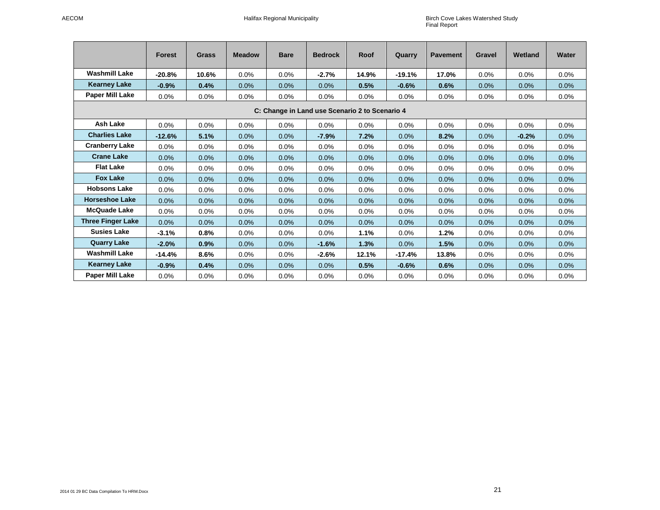|                                                | <b>Forest</b> | <b>Grass</b> | <b>Meadow</b> | <b>Bare</b> | <b>Bedrock</b> | Roof  | Quarry   | <b>Pavement</b> | <b>Gravel</b> | Wetland | Water |  |  |  |
|------------------------------------------------|---------------|--------------|---------------|-------------|----------------|-------|----------|-----------------|---------------|---------|-------|--|--|--|
| <b>Washmill Lake</b>                           | $-20.8%$      | 10.6%        | 0.0%          | 0.0%        | $-2.7%$        | 14.9% | $-19.1%$ | 17.0%           | 0.0%          | 0.0%    | 0.0%  |  |  |  |
| <b>Kearney Lake</b>                            | $-0.9%$       | 0.4%         | 0.0%          | 0.0%        | 0.0%           | 0.5%  | $-0.6%$  | 0.6%            | 0.0%          | 0.0%    | 0.0%  |  |  |  |
| <b>Paper Mill Lake</b>                         | 0.0%          | 0.0%         | 0.0%          | 0.0%        | 0.0%           | 0.0%  | $0.0\%$  | 0.0%            | 0.0%          | 0.0%    | 0.0%  |  |  |  |
| C: Change in Land use Scenario 2 to Scenario 4 |               |              |               |             |                |       |          |                 |               |         |       |  |  |  |
| <b>Ash Lake</b>                                | 0.0%          | 0.0%         | $0.0\%$       | 0.0%        | 0.0%           | 0.0%  | 0.0%     | 0.0%            | 0.0%          | 0.0%    | 0.0%  |  |  |  |
| <b>Charlies Lake</b>                           | $-12.6%$      | 5.1%         | 0.0%          | 0.0%        | $-7.9%$        | 7.2%  | 0.0%     | 8.2%            | 0.0%          | $-0.2%$ | 0.0%  |  |  |  |
| <b>Cranberry Lake</b>                          | 0.0%          | 0.0%         | 0.0%          | 0.0%        | 0.0%           | 0.0%  | 0.0%     | 0.0%            | 0.0%          | 0.0%    | 0.0%  |  |  |  |
| <b>Crane Lake</b>                              | 0.0%          | 0.0%         | 0.0%          | 0.0%        | 0.0%           | 0.0%  | 0.0%     | 0.0%            | 0.0%          | 0.0%    | 0.0%  |  |  |  |
| <b>Flat Lake</b>                               | 0.0%          | 0.0%         | 0.0%          | 0.0%        | 0.0%           | 0.0%  | 0.0%     | 0.0%            | 0.0%          | 0.0%    | 0.0%  |  |  |  |
| <b>Fox Lake</b>                                | 0.0%          | 0.0%         | 0.0%          | 0.0%        | 0.0%           | 0.0%  | 0.0%     | 0.0%            | 0.0%          | 0.0%    | 0.0%  |  |  |  |
| <b>Hobsons Lake</b>                            | 0.0%          | 0.0%         | 0.0%          | 0.0%        | 0.0%           | 0.0%  | 0.0%     | 0.0%            | $0.0\%$       | 0.0%    | 0.0%  |  |  |  |
| <b>Horseshoe Lake</b>                          | 0.0%          | 0.0%         | 0.0%          | 0.0%        | 0.0%           | 0.0%  | 0.0%     | 0.0%            | 0.0%          | 0.0%    | 0.0%  |  |  |  |
| <b>McQuade Lake</b>                            | 0.0%          | 0.0%         | 0.0%          | 0.0%        | 0.0%           | 0.0%  | 0.0%     | 0.0%            | 0.0%          | 0.0%    | 0.0%  |  |  |  |
| <b>Three Finger Lake</b>                       | 0.0%          | 0.0%         | 0.0%          | 0.0%        | 0.0%           | 0.0%  | 0.0%     | 0.0%            | 0.0%          | 0.0%    | 0.0%  |  |  |  |
| <b>Susies Lake</b>                             | $-3.1%$       | 0.8%         | 0.0%          | $0.0\%$     | 0.0%           | 1.1%  | 0.0%     | 1.2%            | $0.0\%$       | 0.0%    | 0.0%  |  |  |  |
| <b>Quarry Lake</b>                             | $-2.0%$       | 0.9%         | 0.0%          | $0.0\%$     | $-1.6%$        | 1.3%  | 0.0%     | 1.5%            | 0.0%          | 0.0%    | 0.0%  |  |  |  |
| <b>Washmill Lake</b>                           | $-14.4%$      | 8.6%         | 0.0%          | $0.0\%$     | $-2.6%$        | 12.1% | $-17.4%$ | 13.8%           | $0.0\%$       | 0.0%    | 0.0%  |  |  |  |
| <b>Kearney Lake</b>                            | $-0.9%$       | 0.4%         | 0.0%          | 0.0%        | 0.0%           | 0.5%  | $-0.6%$  | 0.6%            | 0.0%          | 0.0%    | 0.0%  |  |  |  |
| Paper Mill Lake                                | 0.0%          | 0.0%         | 0.0%          | 0.0%        | 0.0%           | 0.0%  | 0.0%     | 0.0%            | 0.0%          | 0.0%    | 0.0%  |  |  |  |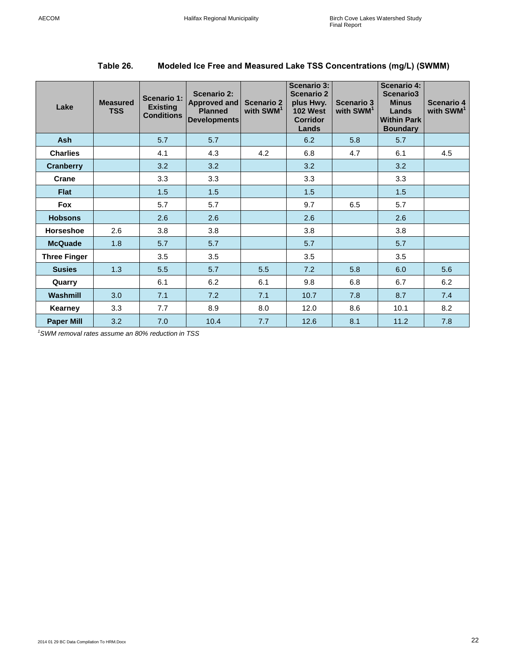| Lake                | <b>Measured</b><br><b>TSS</b> | Scenario 1:<br><b>Existing</b><br><b>Conditions</b> | Scenario 2:<br>Approved and<br><b>Planned</b><br><b>Developments</b> | <b>Scenario 2</b><br>with SWM <sup>1</sup> | <b>Scenario 3:</b><br><b>Scenario 2</b><br>plus Hwy.<br><b>102 West</b><br><b>Corridor</b><br>Lands | <b>Scenario 3</b><br>with SWM <sup>1</sup> | <b>Scenario 4:</b><br>Scenario3<br><b>Minus</b><br>Lands<br><b>Within Park</b><br><b>Boundary</b> | Scenario 4<br>with SWM <sup>1</sup> |
|---------------------|-------------------------------|-----------------------------------------------------|----------------------------------------------------------------------|--------------------------------------------|-----------------------------------------------------------------------------------------------------|--------------------------------------------|---------------------------------------------------------------------------------------------------|-------------------------------------|
| <b>Ash</b>          |                               | 5.7                                                 | 5.7                                                                  |                                            | 6.2                                                                                                 | 5.8                                        | 5.7                                                                                               |                                     |
| <b>Charlies</b>     |                               | 4.1                                                 | 4.3                                                                  | 4.2                                        | 6.8                                                                                                 | 4.7                                        | 6.1                                                                                               | 4.5                                 |
| <b>Cranberry</b>    |                               | 3.2                                                 | 3.2                                                                  |                                            | 3.2                                                                                                 |                                            | 3.2                                                                                               |                                     |
| Crane               |                               | 3.3                                                 | 3.3                                                                  |                                            | 3.3                                                                                                 |                                            | 3.3                                                                                               |                                     |
| <b>Flat</b>         |                               | 1.5                                                 | 1.5                                                                  |                                            | 1.5                                                                                                 |                                            | 1.5                                                                                               |                                     |
| Fox                 |                               | 5.7                                                 | 5.7                                                                  |                                            | 9.7                                                                                                 | 6.5                                        | 5.7                                                                                               |                                     |
| <b>Hobsons</b>      |                               | 2.6                                                 | 2.6                                                                  |                                            | 2.6                                                                                                 |                                            | 2.6                                                                                               |                                     |
| <b>Horseshoe</b>    | 2.6                           | 3.8                                                 | 3.8                                                                  |                                            | 3.8                                                                                                 |                                            | 3.8                                                                                               |                                     |
| <b>McQuade</b>      | 1.8                           | 5.7                                                 | 5.7                                                                  |                                            | 5.7                                                                                                 |                                            | 5.7                                                                                               |                                     |
| <b>Three Finger</b> |                               | 3.5                                                 | 3.5                                                                  |                                            | 3.5                                                                                                 |                                            | 3.5                                                                                               |                                     |
| <b>Susies</b>       | 1.3                           | 5.5                                                 | 5.7                                                                  | 5.5                                        | 7.2                                                                                                 | 5.8                                        | 6.0                                                                                               | 5.6                                 |
| Quarry              |                               | 6.1                                                 | 6.2                                                                  | 6.1                                        | 9.8                                                                                                 | 6.8                                        | 6.7                                                                                               | 6.2                                 |
| Washmill            | 3.0                           | 7.1                                                 | 7.2                                                                  | 7.1                                        | 10.7                                                                                                | 7.8                                        | 8.7                                                                                               | 7.4                                 |
| Kearney             | 3.3                           | 7.7                                                 | 8.9                                                                  | 8.0                                        | 12.0                                                                                                | 8.6                                        | 10.1                                                                                              | 8.2                                 |
| <b>Paper Mill</b>   | 3.2                           | 7.0                                                 | 10.4                                                                 | 7.7                                        | 12.6                                                                                                | 8.1                                        | 11.2                                                                                              | 7.8                                 |

## <span id="page-21-0"></span>**Table 26. Modeled Ice Free and Measured Lake TSS Concentrations (mg/L) (SWMM)**

*<sup>1</sup>SWM removal rates assume an 80% reduction in TSS*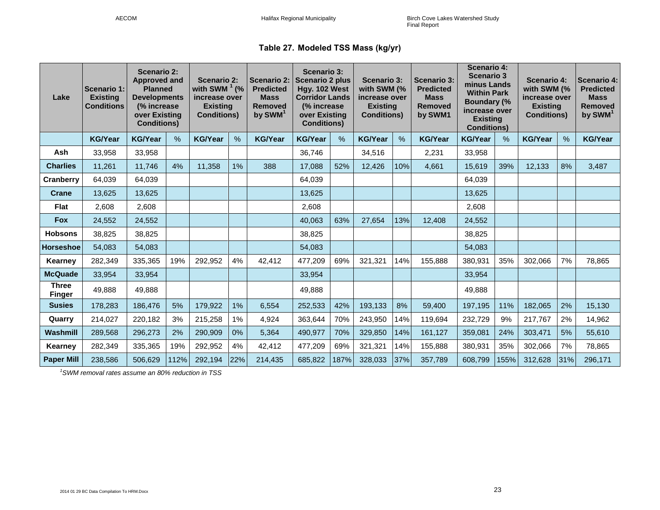|  | Table 27. Modeled TSS Mass (kg/yr) |  |  |  |
|--|------------------------------------|--|--|--|
|--|------------------------------------|--|--|--|

<span id="page-22-0"></span>

| Lake                          | Scenario 1:<br><b>Existing</b><br><b>Conditions</b> | <b>Scenario 2:</b><br><b>Approved and</b><br><b>Planned</b><br><b>Developments</b><br>(% increase)<br>over Existing<br><b>Conditions)</b> |      | <b>Scenario 2:</b><br>with SWM $^1$ (%<br>increase over<br><b>Existing</b><br><b>Conditions)</b> |               | <b>Scenario 2:</b><br><b>Predicted</b><br><b>Mass</b><br><b>Removed</b><br>by SWM <sup>1</sup> | <b>Scenario 3:</b><br><b>Scenario 2 plus</b><br>Hgy. 102 West<br><b>Corridor Lands</b><br>(% increase)<br>over Existing<br><b>Conditions)</b> |      | <b>Scenario 3:</b><br>with SWM (%<br>increase over<br><b>Existing</b><br><b>Conditions)</b> |               | <b>Scenario 3:</b><br><b>Predicted</b><br><b>Mass</b><br><b>Removed</b><br>by SWM1 | <b>Scenario 4:</b><br><b>Scenario 3</b><br>minus Lands<br><b>Within Park</b><br><b>Boundary (%</b><br>increase over<br><b>Existing</b><br><b>Conditions)</b> |      | <b>Scenario 4:</b><br>with SWM (%<br>increase over<br><b>Existing</b><br><b>Conditions)</b> |      | <b>Scenario 4:</b><br><b>Predicted</b><br><b>Mass</b><br>Removed<br>by SWM <sup>1</sup> |
|-------------------------------|-----------------------------------------------------|-------------------------------------------------------------------------------------------------------------------------------------------|------|--------------------------------------------------------------------------------------------------|---------------|------------------------------------------------------------------------------------------------|-----------------------------------------------------------------------------------------------------------------------------------------------|------|---------------------------------------------------------------------------------------------|---------------|------------------------------------------------------------------------------------|--------------------------------------------------------------------------------------------------------------------------------------------------------------|------|---------------------------------------------------------------------------------------------|------|-----------------------------------------------------------------------------------------|
|                               | <b>KG/Year</b>                                      | <b>KG/Year</b>                                                                                                                            | $\%$ | <b>KG/Year</b>                                                                                   | $\frac{0}{0}$ | <b>KG/Year</b>                                                                                 | <b>KG/Year</b>                                                                                                                                | %    | <b>KG/Year</b>                                                                              | $\frac{0}{0}$ | <b>KG/Year</b>                                                                     | <b>KG/Year</b>                                                                                                                                               | $\%$ | <b>KG/Year</b>                                                                              | $\%$ | <b>KG/Year</b>                                                                          |
| Ash                           | 33,958                                              | 33,958                                                                                                                                    |      |                                                                                                  |               |                                                                                                | 36,746                                                                                                                                        |      | 34,516                                                                                      |               | 2,231                                                                              | 33,958                                                                                                                                                       |      |                                                                                             |      |                                                                                         |
| <b>Charlies</b>               | 11,261                                              | 11,746                                                                                                                                    | 4%   | 11,358                                                                                           | 1%            | 388                                                                                            | 17,088                                                                                                                                        | 52%  | 12,426                                                                                      | 10%           | 4,661                                                                              | 15,619                                                                                                                                                       | 39%  | 12,133                                                                                      | 8%   | 3,487                                                                                   |
| Cranberry                     | 64,039                                              | 64,039                                                                                                                                    |      |                                                                                                  |               |                                                                                                | 64,039                                                                                                                                        |      |                                                                                             |               |                                                                                    | 64,039                                                                                                                                                       |      |                                                                                             |      |                                                                                         |
| Crane                         | 13,625                                              | 13.625                                                                                                                                    |      |                                                                                                  |               |                                                                                                | 13,625                                                                                                                                        |      |                                                                                             |               |                                                                                    | 13.625                                                                                                                                                       |      |                                                                                             |      |                                                                                         |
| <b>Flat</b>                   | 2,608                                               | 2,608                                                                                                                                     |      |                                                                                                  |               |                                                                                                | 2,608                                                                                                                                         |      |                                                                                             |               |                                                                                    | 2,608                                                                                                                                                        |      |                                                                                             |      |                                                                                         |
| <b>Fox</b>                    | 24,552                                              | 24,552                                                                                                                                    |      |                                                                                                  |               |                                                                                                | 40,063                                                                                                                                        | 63%  | 27,654                                                                                      | 13%           | 12,408                                                                             | 24,552                                                                                                                                                       |      |                                                                                             |      |                                                                                         |
| <b>Hobsons</b>                | 38,825                                              | 38.825                                                                                                                                    |      |                                                                                                  |               |                                                                                                | 38,825                                                                                                                                        |      |                                                                                             |               |                                                                                    | 38,825                                                                                                                                                       |      |                                                                                             |      |                                                                                         |
| <b>Horseshoe</b>              | 54,083                                              | 54,083                                                                                                                                    |      |                                                                                                  |               |                                                                                                | 54,083                                                                                                                                        |      |                                                                                             |               |                                                                                    | 54,083                                                                                                                                                       |      |                                                                                             |      |                                                                                         |
| Kearney                       | 282,349                                             | 335,365                                                                                                                                   | 19%  | 292,952                                                                                          | 4%            | 42,412                                                                                         | 477,209                                                                                                                                       | 69%  | 321,321                                                                                     | 14%           | 155,888                                                                            | 380,931                                                                                                                                                      | 35%  | 302,066                                                                                     | 7%   | 78,865                                                                                  |
| <b>McQuade</b>                | 33,954                                              | 33.954                                                                                                                                    |      |                                                                                                  |               |                                                                                                | 33,954                                                                                                                                        |      |                                                                                             |               |                                                                                    | 33,954                                                                                                                                                       |      |                                                                                             |      |                                                                                         |
| <b>Three</b><br><b>Finger</b> | 49,888                                              | 49.888                                                                                                                                    |      |                                                                                                  |               |                                                                                                | 49,888                                                                                                                                        |      |                                                                                             |               |                                                                                    | 49,888                                                                                                                                                       |      |                                                                                             |      |                                                                                         |
| <b>Susies</b>                 | 178,283                                             | 186,476                                                                                                                                   | 5%   | 179,922                                                                                          | 1%            | 6,554                                                                                          | 252,533                                                                                                                                       | 42%  | 193,133                                                                                     | 8%            | 59,400                                                                             | 197,195                                                                                                                                                      | 11%  | 182,065                                                                                     | 2%   | 15,130                                                                                  |
| Quarry                        | 214,027                                             | 220,182                                                                                                                                   | 3%   | 215,258                                                                                          | 1%            | 4,924                                                                                          | 363,644                                                                                                                                       | 70%  | 243,950                                                                                     | 14%           | 119,694                                                                            | 232,729                                                                                                                                                      | 9%   | 217,767                                                                                     | 2%   | 14,962                                                                                  |
| Washmill                      | 289,568                                             | 296,273                                                                                                                                   | 2%   | 290,909                                                                                          | 0%            | 5,364                                                                                          | 490,977                                                                                                                                       | 70%  | 329,850                                                                                     | 14%           | 161,127                                                                            | 359,081                                                                                                                                                      | 24%  | 303,471                                                                                     | 5%   | 55,610                                                                                  |
| Kearney                       | 282,349                                             | 335,365                                                                                                                                   | 19%  | 292,952                                                                                          | 4%            | 42,412                                                                                         | 477,209                                                                                                                                       | 69%  | 321,321                                                                                     | 14%           | 155,888                                                                            | 380,931                                                                                                                                                      | 35%  | 302,066                                                                                     | 7%   | 78,865                                                                                  |
| <b>Paper Mill</b>             | 238,586                                             | 506,629                                                                                                                                   | 112% | 292,194                                                                                          | 22%           | 214,435                                                                                        | 685,822                                                                                                                                       | 187% | 328,033                                                                                     | 37%           | 357,789                                                                            | 608,799                                                                                                                                                      | 155% | 312,628                                                                                     | 31%  | 296,171                                                                                 |

*<sup>1</sup>SWM removal rates assume an 80% reduction in TSS*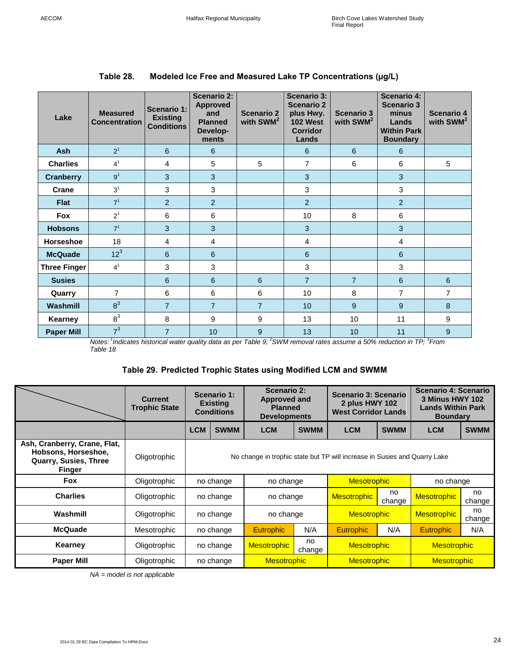| Lake                | <b>Measured</b><br><b>Concentration</b> | <b>Scenario 1:</b><br><b>Existing</b><br><b>Conditions</b> | <b>Scenario 2:</b><br><b>Approved</b><br>and<br><b>Planned</b><br>Develop-<br>ments | <b>Scenario 2</b><br>with SWM <sup>2</sup> | <b>Scenario 3:</b><br><b>Scenario 2</b><br>plus Hwy.<br><b>102 West</b><br><b>Corridor</b><br>Lands | <b>Scenario 3</b><br>with SWM <sup>2</sup> | <b>Scenario 4:</b><br><b>Scenario 3</b><br>minus<br>Lands<br><b>Within Park</b><br><b>Boundary</b> | Scenario 4<br>with SWM <sup>2</sup> |
|---------------------|-----------------------------------------|------------------------------------------------------------|-------------------------------------------------------------------------------------|--------------------------------------------|-----------------------------------------------------------------------------------------------------|--------------------------------------------|----------------------------------------------------------------------------------------------------|-------------------------------------|
| <b>Ash</b>          | 2 <sup>1</sup>                          | 6                                                          | $6\phantom{1}6$                                                                     |                                            | 6                                                                                                   | 6                                          | 6                                                                                                  |                                     |
| <b>Charlies</b>     | 4 <sup>1</sup>                          | 4                                                          | 5                                                                                   | 5                                          | $\overline{7}$                                                                                      | 6                                          | 6                                                                                                  | 5                                   |
| <b>Cranberry</b>    | 9 <sup>1</sup>                          | 3                                                          | 3                                                                                   |                                            | $\overline{3}$                                                                                      |                                            | 3                                                                                                  |                                     |
| Crane               | 3 <sup>1</sup>                          | 3                                                          | 3                                                                                   |                                            | 3                                                                                                   |                                            | 3                                                                                                  |                                     |
| <b>Flat</b>         | 7 <sup>1</sup>                          | $\overline{2}$                                             | $\overline{2}$                                                                      |                                            | 2                                                                                                   |                                            | $\overline{2}$                                                                                     |                                     |
| <b>Fox</b>          | $2^1$                                   | 6                                                          | 6                                                                                   |                                            | 10                                                                                                  | 8                                          | 6                                                                                                  |                                     |
| <b>Hobsons</b>      | 7 <sup>1</sup>                          | 3                                                          | 3                                                                                   |                                            | 3                                                                                                   |                                            | $\overline{3}$                                                                                     |                                     |
| Horseshoe           | 18                                      | 4                                                          | 4                                                                                   |                                            | 4                                                                                                   |                                            | 4                                                                                                  |                                     |
| <b>McQuade</b>      | 12 <sup>3</sup>                         | 6                                                          | $6\phantom{1}6$                                                                     |                                            | 6                                                                                                   |                                            | 6                                                                                                  |                                     |
| <b>Three Finger</b> | 4 <sup>1</sup>                          | 3                                                          | 3                                                                                   |                                            | 3                                                                                                   |                                            | 3                                                                                                  |                                     |
| <b>Susies</b>       |                                         | 6                                                          | 6                                                                                   | 6                                          | $\overline{7}$                                                                                      | $\overline{7}$                             | 6                                                                                                  | 6                                   |
| Quarry              | $\overline{7}$                          | 6                                                          | 6                                                                                   | 6                                          | 10                                                                                                  | 8                                          | $\overline{7}$                                                                                     | $\overline{7}$                      |
| Washmill            | 8 <sup>3</sup>                          | $\overline{7}$                                             | $\overline{7}$                                                                      | $\overline{7}$                             | 10                                                                                                  | 9                                          | 9                                                                                                  | 8                                   |
| Kearney             | $8^3$                                   | 8                                                          | 9                                                                                   | 9                                          | 13                                                                                                  | 10 <sup>1</sup>                            | 11                                                                                                 | 9                                   |
| <b>Paper Mill</b>   | 7 <sup>3</sup>                          | $\overline{7}$                                             | 10                                                                                  | 9                                          | 13                                                                                                  | 10                                         | 11                                                                                                 | 9                                   |

## <span id="page-23-0"></span>**Table 28. Modeled Ice Free and Measured Lake TP Concentrations (µg/L)**

<span id="page-23-1"></span>*Notes: <sup>1</sup> Indicates historical water quality data as per Table 9; <sup>2</sup>SWM removal rates assume a 50% reduction in TP; <sup>3</sup> From Table 18*

#### **Table 29. Predicted Trophic States using Modified LCM and SWMM**

|                                                                                                      | <b>Current</b><br><b>Trophic State</b> | Scenario 1:<br><b>Existing</b><br><b>Conditions</b>                       |                                              | Scenario 2:<br>Approved and<br><b>Planned</b><br><b>Developments</b> |             | Scenario 3: Scenario<br>2 plus HWY 102<br><b>West Corridor Lands</b> |              | Scenario 4: Scenario<br>3 Minus HWY 102<br><b>Lands Within Park</b><br><b>Boundary</b> |              |
|------------------------------------------------------------------------------------------------------|----------------------------------------|---------------------------------------------------------------------------|----------------------------------------------|----------------------------------------------------------------------|-------------|----------------------------------------------------------------------|--------------|----------------------------------------------------------------------------------------|--------------|
|                                                                                                      |                                        | <b>LCM</b><br><b>SWMM</b><br><b>LCM</b><br><b>SWMM</b>                    |                                              | <b>LCM</b>                                                           | <b>SWMM</b> | <b>LCM</b>                                                           | <b>SWMM</b>  |                                                                                        |              |
| Ash, Cranberry, Crane, Flat,<br>Hobsons, Horseshoe,<br><b>Quarry, Susies, Three</b><br><b>Finger</b> | Oligotrophic                           | No change in trophic state but TP will increase in Susies and Quarry Lake |                                              |                                                                      |             |                                                                      |              |                                                                                        |              |
| <b>Fox</b>                                                                                           | Oligotrophic                           |                                                                           | <b>Mesotrophic</b><br>no change<br>no change |                                                                      |             |                                                                      |              | no change                                                                              |              |
| <b>Charlies</b>                                                                                      | Oligotrophic                           |                                                                           | no change                                    | no change                                                            |             | <b>Mesotrophic</b>                                                   | no<br>change | <b>Mesotrophic</b>                                                                     | no<br>change |
| Washmill                                                                                             | Oligotrophic                           |                                                                           | no change                                    | no change                                                            |             | <b>Mesotrophic</b>                                                   |              | <b>Mesotrophic</b>                                                                     | no<br>change |
| <b>McQuade</b>                                                                                       | Mesotrophic                            |                                                                           | no change                                    | N/A<br><b>Eutrophic</b>                                              |             | <b>Eutrophic</b>                                                     | N/A          | <b>Eutrophic</b>                                                                       | N/A          |
| Kearney                                                                                              | Oligotrophic                           |                                                                           | no change                                    | no<br><b>Mesotrophic</b><br>change                                   |             | <b>Mesotrophic</b>                                                   |              | <b>Mesotrophic</b>                                                                     |              |
| <b>Paper Mill</b>                                                                                    | Oligotrophic                           |                                                                           | no change                                    | <b>Mesotrophic</b>                                                   |             | <b>Mesotrophic</b>                                                   |              | <b>Mesotrophic</b>                                                                     |              |

*NA = model is not applicable*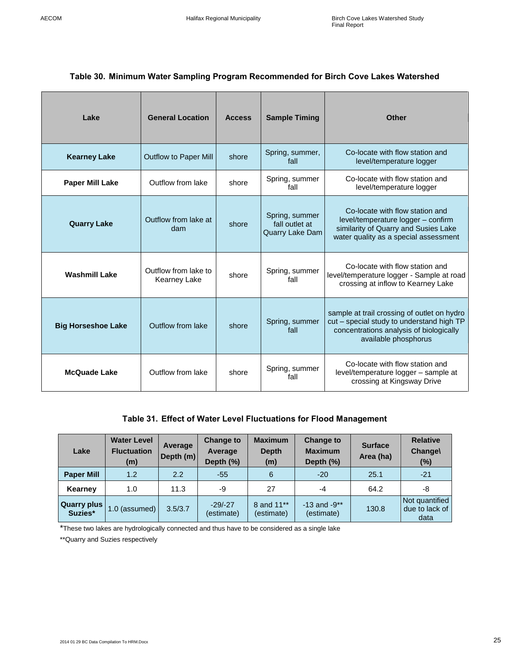## <span id="page-24-0"></span>**Table 30. Minimum Water Sampling Program Recommended for Birch Cove Lakes Watershed**

| Lake                      | <b>General Location</b>                     | <b>Access</b> | <b>Sample Timing</b>                                | <b>Other</b>                                                                                                                                                |
|---------------------------|---------------------------------------------|---------------|-----------------------------------------------------|-------------------------------------------------------------------------------------------------------------------------------------------------------------|
| <b>Kearney Lake</b>       | <b>Outflow to Paper Mill</b>                | shore         | Spring, summer,<br>fall                             | Co-locate with flow station and<br>level/temperature logger                                                                                                 |
| <b>Paper Mill Lake</b>    | Outflow from lake                           | shore         | Spring, summer<br>fall                              | Co-locate with flow station and<br>level/temperature logger                                                                                                 |
| <b>Quarry Lake</b>        | Outflow from lake at<br>dam                 | shore         | Spring, summer<br>fall outlet at<br>Quarry Lake Dam | Co-locate with flow station and<br>level/temperature logger - confirm<br>similarity of Quarry and Susies Lake<br>water quality as a special assessment      |
| <b>Washmill Lake</b>      | Outflow from lake to<br><b>Kearney Lake</b> | shore         | Spring, summer<br>fall                              | Co-locate with flow station and<br>level/temperature logger - Sample at road<br>crossing at inflow to Kearney Lake                                          |
| <b>Big Horseshoe Lake</b> | Outflow from lake                           | shore         | Spring, summer<br>fall                              | sample at trail crossing of outlet on hydro<br>cut - special study to understand high TP<br>concentrations analysis of biologically<br>available phosphorus |
| <b>McQuade Lake</b>       | Outflow from lake                           | shore         | Spring, summer<br>fall                              | Co-locate with flow station and<br>level/temperature logger - sample at<br>crossing at Kingsway Drive                                                       |

## **Table 31. Effect of Water Level Fluctuations for Flood Management**

<span id="page-24-1"></span>

| Lake                          | <b>Water Level</b><br><b>Fluctuation</b><br>(m) | Average<br>Depth $(m)$ | <b>Change to</b><br>Average<br>Depth (%) | <b>Maximum</b><br><b>Depth</b><br>(m) | <b>Change to</b><br><b>Maximum</b><br>Depth (%) | <b>Surface</b><br>Area (ha) | <b>Relative</b><br><b>Changel</b><br>$(\%)$ |
|-------------------------------|-------------------------------------------------|------------------------|------------------------------------------|---------------------------------------|-------------------------------------------------|-----------------------------|---------------------------------------------|
| <b>Paper Mill</b>             | 1.2                                             | 2.2                    | $-55$                                    | 6                                     | $-20$                                           | 25.1                        | $-21$                                       |
| Kearney                       | 1.0                                             | 11.3                   | -9                                       | 27                                    | -4                                              | 64.2                        | -8                                          |
| <b>Quarry plus</b><br>Suzies* | 1.0 (assumed)                                   | 3.5/3.7                | $-29/ -27$<br>(estimate)                 | 8 and 11**<br>(estimate)              | $-13$ and $-9**$<br>(estimate)                  | 130.8                       | Not quantified<br>due to lack of<br>data    |

\*These two lakes are hydrologically connected and thus have to be considered as a single lake

\*\*Quarry and Suzies respectively